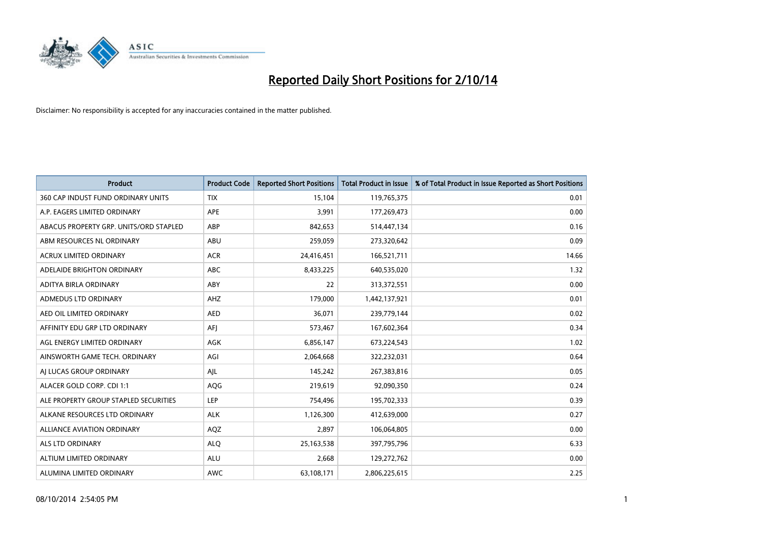

| <b>Product</b>                         | <b>Product Code</b> | <b>Reported Short Positions</b> | <b>Total Product in Issue</b> | % of Total Product in Issue Reported as Short Positions |
|----------------------------------------|---------------------|---------------------------------|-------------------------------|---------------------------------------------------------|
| 360 CAP INDUST FUND ORDINARY UNITS     | <b>TIX</b>          | 15,104                          | 119,765,375                   | 0.01                                                    |
| A.P. EAGERS LIMITED ORDINARY           | APE                 | 3,991                           | 177,269,473                   | 0.00                                                    |
| ABACUS PROPERTY GRP. UNITS/ORD STAPLED | ABP                 | 842,653                         | 514,447,134                   | 0.16                                                    |
| ABM RESOURCES NL ORDINARY              | ABU                 | 259,059                         | 273,320,642                   | 0.09                                                    |
| <b>ACRUX LIMITED ORDINARY</b>          | <b>ACR</b>          | 24,416,451                      | 166,521,711                   | 14.66                                                   |
| ADELAIDE BRIGHTON ORDINARY             | ABC                 | 8,433,225                       | 640,535,020                   | 1.32                                                    |
| ADITYA BIRLA ORDINARY                  | ABY                 | 22                              | 313,372,551                   | 0.00                                                    |
| ADMEDUS LTD ORDINARY                   | AHZ                 | 179,000                         | 1,442,137,921                 | 0.01                                                    |
| AED OIL LIMITED ORDINARY               | <b>AED</b>          | 36,071                          | 239,779,144                   | 0.02                                                    |
| AFFINITY EDU GRP LTD ORDINARY          | AFJ                 | 573,467                         | 167,602,364                   | 0.34                                                    |
| AGL ENERGY LIMITED ORDINARY            | AGK                 | 6,856,147                       | 673,224,543                   | 1.02                                                    |
| AINSWORTH GAME TECH. ORDINARY          | AGI                 | 2,064,668                       | 322,232,031                   | 0.64                                                    |
| AJ LUCAS GROUP ORDINARY                | AJL                 | 145,242                         | 267,383,816                   | 0.05                                                    |
| ALACER GOLD CORP. CDI 1:1              | AQG                 | 219,619                         | 92,090,350                    | 0.24                                                    |
| ALE PROPERTY GROUP STAPLED SECURITIES  | LEP                 | 754,496                         | 195,702,333                   | 0.39                                                    |
| ALKANE RESOURCES LTD ORDINARY          | <b>ALK</b>          | 1,126,300                       | 412,639,000                   | 0.27                                                    |
| ALLIANCE AVIATION ORDINARY             | AQZ                 | 2,897                           | 106,064,805                   | 0.00                                                    |
| ALS LTD ORDINARY                       | <b>ALQ</b>          | 25, 163, 538                    | 397,795,796                   | 6.33                                                    |
| ALTIUM LIMITED ORDINARY                | <b>ALU</b>          | 2,668                           | 129,272,762                   | 0.00                                                    |
| ALUMINA LIMITED ORDINARY               | <b>AWC</b>          | 63,108,171                      | 2,806,225,615                 | 2.25                                                    |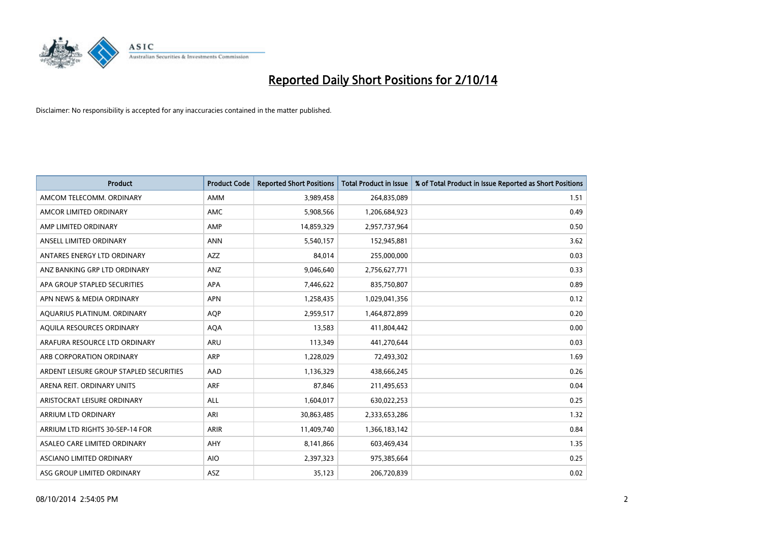

| <b>Product</b>                          | <b>Product Code</b> | <b>Reported Short Positions</b> | <b>Total Product in Issue</b> | % of Total Product in Issue Reported as Short Positions |
|-----------------------------------------|---------------------|---------------------------------|-------------------------------|---------------------------------------------------------|
| AMCOM TELECOMM, ORDINARY                | AMM                 | 3,989,458                       | 264,835,089                   | 1.51                                                    |
| AMCOR LIMITED ORDINARY                  | AMC                 | 5,908,566                       | 1,206,684,923                 | 0.49                                                    |
| AMP LIMITED ORDINARY                    | AMP                 | 14,859,329                      | 2,957,737,964                 | 0.50                                                    |
| ANSELL LIMITED ORDINARY                 | <b>ANN</b>          | 5,540,157                       | 152,945,881                   | 3.62                                                    |
| ANTARES ENERGY LTD ORDINARY             | AZZ                 | 84,014                          | 255,000,000                   | 0.03                                                    |
| ANZ BANKING GRP LTD ORDINARY            | ANZ                 | 9,046,640                       | 2,756,627,771                 | 0.33                                                    |
| APA GROUP STAPLED SECURITIES            | APA                 | 7,446,622                       | 835,750,807                   | 0.89                                                    |
| APN NEWS & MEDIA ORDINARY               | <b>APN</b>          | 1,258,435                       | 1,029,041,356                 | 0.12                                                    |
| AQUARIUS PLATINUM. ORDINARY             | <b>AOP</b>          | 2,959,517                       | 1,464,872,899                 | 0.20                                                    |
| AQUILA RESOURCES ORDINARY               | <b>AQA</b>          | 13,583                          | 411,804,442                   | 0.00                                                    |
| ARAFURA RESOURCE LTD ORDINARY           | ARU                 | 113,349                         | 441,270,644                   | 0.03                                                    |
| ARB CORPORATION ORDINARY                | ARP                 | 1,228,029                       | 72,493,302                    | 1.69                                                    |
| ARDENT LEISURE GROUP STAPLED SECURITIES | AAD                 | 1,136,329                       | 438,666,245                   | 0.26                                                    |
| ARENA REIT. ORDINARY UNITS              | <b>ARF</b>          | 87,846                          | 211,495,653                   | 0.04                                                    |
| ARISTOCRAT LEISURE ORDINARY             | <b>ALL</b>          | 1,604,017                       | 630,022,253                   | 0.25                                                    |
| ARRIUM LTD ORDINARY                     | ARI                 | 30,863,485                      | 2,333,653,286                 | 1.32                                                    |
| ARRIUM LTD RIGHTS 30-SEP-14 FOR         | ARIR                | 11,409,740                      | 1,366,183,142                 | 0.84                                                    |
| ASALEO CARE LIMITED ORDINARY            | AHY                 | 8,141,866                       | 603,469,434                   | 1.35                                                    |
| ASCIANO LIMITED ORDINARY                | <b>AIO</b>          | 2,397,323                       | 975,385,664                   | 0.25                                                    |
| ASG GROUP LIMITED ORDINARY              | ASZ                 | 35,123                          | 206,720,839                   | 0.02                                                    |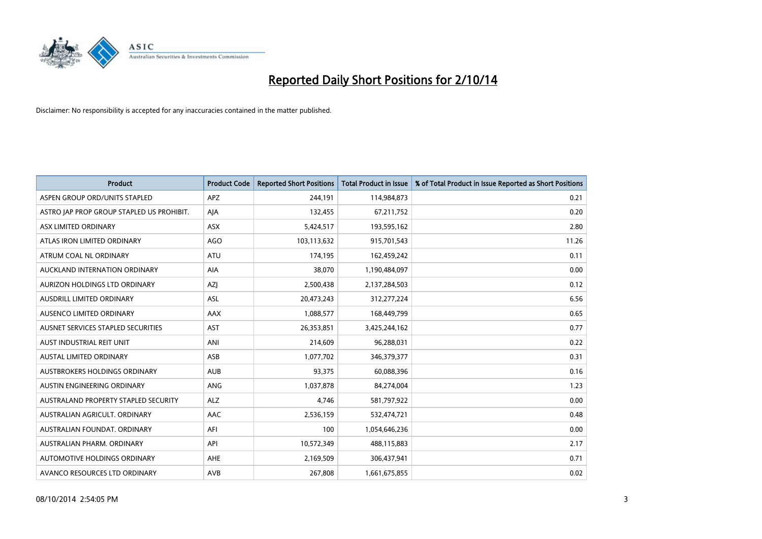

| <b>Product</b>                            | <b>Product Code</b> | <b>Reported Short Positions</b> | <b>Total Product in Issue</b> | % of Total Product in Issue Reported as Short Positions |
|-------------------------------------------|---------------------|---------------------------------|-------------------------------|---------------------------------------------------------|
| ASPEN GROUP ORD/UNITS STAPLED             | <b>APZ</b>          | 244,191                         | 114,984,873                   | 0.21                                                    |
| ASTRO JAP PROP GROUP STAPLED US PROHIBIT. | AJA                 | 132,455                         | 67,211,752                    | 0.20                                                    |
| ASX LIMITED ORDINARY                      | ASX                 | 5,424,517                       | 193,595,162                   | 2.80                                                    |
| ATLAS IRON LIMITED ORDINARY               | AGO                 | 103,113,632                     | 915,701,543                   | 11.26                                                   |
| ATRUM COAL NL ORDINARY                    | ATU                 | 174,195                         | 162,459,242                   | 0.11                                                    |
| AUCKLAND INTERNATION ORDINARY             | <b>AIA</b>          | 38,070                          | 1,190,484,097                 | 0.00                                                    |
| AURIZON HOLDINGS LTD ORDINARY             | AZJ                 | 2,500,438                       | 2,137,284,503                 | 0.12                                                    |
| AUSDRILL LIMITED ORDINARY                 | <b>ASL</b>          | 20,473,243                      | 312,277,224                   | 6.56                                                    |
| AUSENCO LIMITED ORDINARY                  | AAX                 | 1,088,577                       | 168,449,799                   | 0.65                                                    |
| AUSNET SERVICES STAPLED SECURITIES        | AST                 | 26,353,851                      | 3,425,244,162                 | 0.77                                                    |
| AUST INDUSTRIAL REIT UNIT                 | ANI                 | 214,609                         | 96,288,031                    | 0.22                                                    |
| <b>AUSTAL LIMITED ORDINARY</b>            | ASB                 | 1,077,702                       | 346,379,377                   | 0.31                                                    |
| AUSTBROKERS HOLDINGS ORDINARY             | <b>AUB</b>          | 93,375                          | 60,088,396                    | 0.16                                                    |
| AUSTIN ENGINEERING ORDINARY               | ANG                 | 1,037,878                       | 84,274,004                    | 1.23                                                    |
| AUSTRALAND PROPERTY STAPLED SECURITY      | <b>ALZ</b>          | 4,746                           | 581,797,922                   | 0.00                                                    |
| AUSTRALIAN AGRICULT, ORDINARY             | AAC                 | 2,536,159                       | 532,474,721                   | 0.48                                                    |
| AUSTRALIAN FOUNDAT. ORDINARY              | AFI                 | 100                             | 1,054,646,236                 | 0.00                                                    |
| AUSTRALIAN PHARM, ORDINARY                | API                 | 10,572,349                      | 488,115,883                   | 2.17                                                    |
| AUTOMOTIVE HOLDINGS ORDINARY              | AHE                 | 2,169,509                       | 306,437,941                   | 0.71                                                    |
| AVANCO RESOURCES LTD ORDINARY             | AVB                 | 267,808                         | 1,661,675,855                 | 0.02                                                    |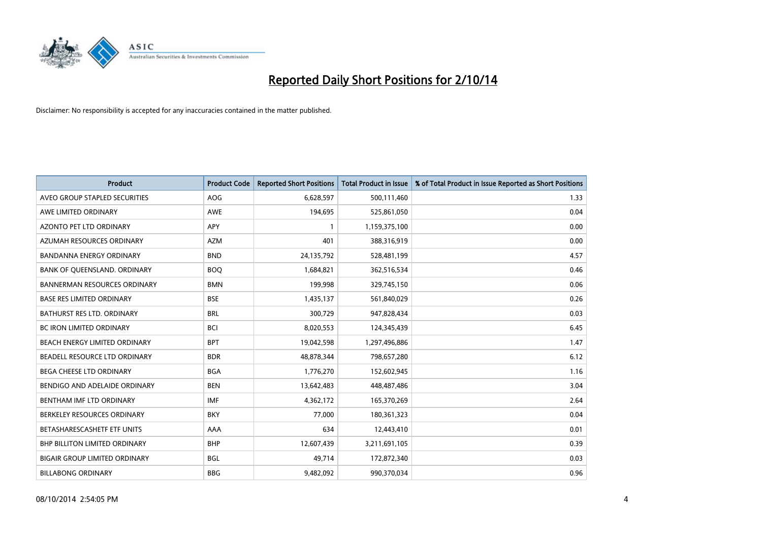

| <b>Product</b>                       | <b>Product Code</b> | <b>Reported Short Positions</b> | <b>Total Product in Issue</b> | % of Total Product in Issue Reported as Short Positions |
|--------------------------------------|---------------------|---------------------------------|-------------------------------|---------------------------------------------------------|
| AVEO GROUP STAPLED SECURITIES        | AOG                 | 6,628,597                       | 500,111,460                   | 1.33                                                    |
| AWE LIMITED ORDINARY                 | AWE                 | 194,695                         | 525,861,050                   | 0.04                                                    |
| <b>AZONTO PET LTD ORDINARY</b>       | APY                 | $\mathbf{1}$                    | 1,159,375,100                 | 0.00                                                    |
| AZUMAH RESOURCES ORDINARY            | <b>AZM</b>          | 401                             | 388,316,919                   | 0.00                                                    |
| <b>BANDANNA ENERGY ORDINARY</b>      | <b>BND</b>          | 24,135,792                      | 528,481,199                   | 4.57                                                    |
| BANK OF QUEENSLAND. ORDINARY         | <b>BOO</b>          | 1,684,821                       | 362,516,534                   | 0.46                                                    |
| <b>BANNERMAN RESOURCES ORDINARY</b>  | <b>BMN</b>          | 199.998                         | 329,745,150                   | 0.06                                                    |
| <b>BASE RES LIMITED ORDINARY</b>     | <b>BSE</b>          | 1,435,137                       | 561,840,029                   | 0.26                                                    |
| BATHURST RES LTD. ORDINARY           | <b>BRL</b>          | 300,729                         | 947,828,434                   | 0.03                                                    |
| <b>BC IRON LIMITED ORDINARY</b>      | <b>BCI</b>          | 8,020,553                       | 124,345,439                   | 6.45                                                    |
| BEACH ENERGY LIMITED ORDINARY        | <b>BPT</b>          | 19,042,598                      | 1,297,496,886                 | 1.47                                                    |
| BEADELL RESOURCE LTD ORDINARY        | <b>BDR</b>          | 48,878,344                      | 798,657,280                   | 6.12                                                    |
| <b>BEGA CHEESE LTD ORDINARY</b>      | <b>BGA</b>          | 1,776,270                       | 152,602,945                   | 1.16                                                    |
| BENDIGO AND ADELAIDE ORDINARY        | <b>BEN</b>          | 13,642,483                      | 448,487,486                   | 3.04                                                    |
| BENTHAM IMF LTD ORDINARY             | <b>IMF</b>          | 4,362,172                       | 165,370,269                   | 2.64                                                    |
| BERKELEY RESOURCES ORDINARY          | <b>BKY</b>          | 77,000                          | 180,361,323                   | 0.04                                                    |
| BETASHARESCASHETF ETF UNITS          | AAA                 | 634                             | 12,443,410                    | 0.01                                                    |
| <b>BHP BILLITON LIMITED ORDINARY</b> | <b>BHP</b>          | 12,607,439                      | 3,211,691,105                 | 0.39                                                    |
| <b>BIGAIR GROUP LIMITED ORDINARY</b> | <b>BGL</b>          | 49,714                          | 172,872,340                   | 0.03                                                    |
| <b>BILLABONG ORDINARY</b>            | <b>BBG</b>          | 9,482,092                       | 990,370,034                   | 0.96                                                    |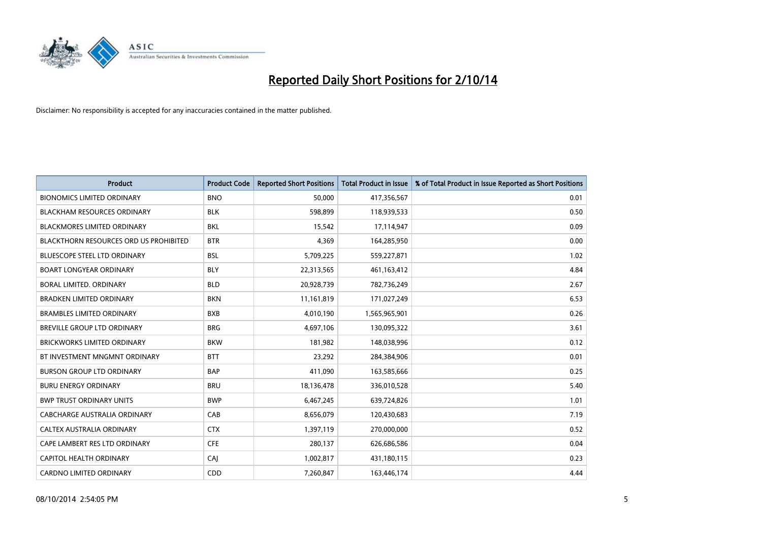

| <b>Product</b>                         | <b>Product Code</b> | <b>Reported Short Positions</b> | <b>Total Product in Issue</b> | % of Total Product in Issue Reported as Short Positions |
|----------------------------------------|---------------------|---------------------------------|-------------------------------|---------------------------------------------------------|
| <b>BIONOMICS LIMITED ORDINARY</b>      | <b>BNO</b>          | 50,000                          | 417,356,567                   | 0.01                                                    |
| <b>BLACKHAM RESOURCES ORDINARY</b>     | <b>BLK</b>          | 598,899                         | 118,939,533                   | 0.50                                                    |
| <b>BLACKMORES LIMITED ORDINARY</b>     | <b>BKL</b>          | 15,542                          | 17,114,947                    | 0.09                                                    |
| BLACKTHORN RESOURCES ORD US PROHIBITED | <b>BTR</b>          | 4,369                           | 164,285,950                   | 0.00                                                    |
| <b>BLUESCOPE STEEL LTD ORDINARY</b>    | <b>BSL</b>          | 5,709,225                       | 559,227,871                   | 1.02                                                    |
| <b>BOART LONGYEAR ORDINARY</b>         | <b>BLY</b>          | 22,313,565                      | 461, 163, 412                 | 4.84                                                    |
| BORAL LIMITED, ORDINARY                | <b>BLD</b>          | 20,928,739                      | 782,736,249                   | 2.67                                                    |
| <b>BRADKEN LIMITED ORDINARY</b>        | <b>BKN</b>          | 11,161,819                      | 171,027,249                   | 6.53                                                    |
| <b>BRAMBLES LIMITED ORDINARY</b>       | <b>BXB</b>          | 4,010,190                       | 1,565,965,901                 | 0.26                                                    |
| <b>BREVILLE GROUP LTD ORDINARY</b>     | <b>BRG</b>          | 4,697,106                       | 130,095,322                   | 3.61                                                    |
| <b>BRICKWORKS LIMITED ORDINARY</b>     | <b>BKW</b>          | 181,982                         | 148,038,996                   | 0.12                                                    |
| BT INVESTMENT MNGMNT ORDINARY          | <b>BTT</b>          | 23,292                          | 284,384,906                   | 0.01                                                    |
| <b>BURSON GROUP LTD ORDINARY</b>       | <b>BAP</b>          | 411,090                         | 163,585,666                   | 0.25                                                    |
| <b>BURU ENERGY ORDINARY</b>            | <b>BRU</b>          | 18,136,478                      | 336,010,528                   | 5.40                                                    |
| <b>BWP TRUST ORDINARY UNITS</b>        | <b>BWP</b>          | 6,467,245                       | 639,724,826                   | 1.01                                                    |
| CABCHARGE AUSTRALIA ORDINARY           | CAB                 | 8,656,079                       | 120,430,683                   | 7.19                                                    |
| CALTEX AUSTRALIA ORDINARY              | <b>CTX</b>          | 1,397,119                       | 270,000,000                   | 0.52                                                    |
| CAPE LAMBERT RES LTD ORDINARY          | <b>CFE</b>          | 280,137                         | 626,686,586                   | 0.04                                                    |
| <b>CAPITOL HEALTH ORDINARY</b>         | CAJ                 | 1,002,817                       | 431,180,115                   | 0.23                                                    |
| <b>CARDNO LIMITED ORDINARY</b>         | CDD                 | 7,260,847                       | 163,446,174                   | 4.44                                                    |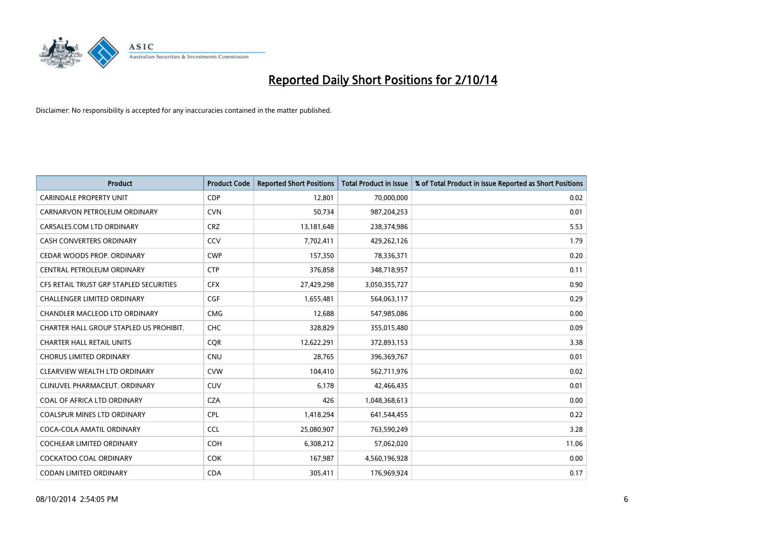

| <b>Product</b>                          | <b>Product Code</b> | <b>Reported Short Positions</b> | <b>Total Product in Issue</b> | % of Total Product in Issue Reported as Short Positions |
|-----------------------------------------|---------------------|---------------------------------|-------------------------------|---------------------------------------------------------|
| <b>CARINDALE PROPERTY UNIT</b>          | <b>CDP</b>          | 12,801                          | 70,000,000                    | 0.02                                                    |
| CARNARVON PETROLEUM ORDINARY            | <b>CVN</b>          | 50,734                          | 987,204,253                   | 0.01                                                    |
| CARSALES.COM LTD ORDINARY               | <b>CRZ</b>          | 13,181,648                      | 238,374,986                   | 5.53                                                    |
| CASH CONVERTERS ORDINARY                | CCV                 | 7,702,411                       | 429,262,126                   | 1.79                                                    |
| CEDAR WOODS PROP. ORDINARY              | <b>CWP</b>          | 157,350                         | 78,336,371                    | 0.20                                                    |
| CENTRAL PETROLEUM ORDINARY              | <b>CTP</b>          | 376,858                         | 348,718,957                   | 0.11                                                    |
| CFS RETAIL TRUST GRP STAPLED SECURITIES | <b>CFX</b>          | 27,429,298                      | 3,050,355,727                 | 0.90                                                    |
| <b>CHALLENGER LIMITED ORDINARY</b>      | <b>CGF</b>          | 1,655,481                       | 564,063,117                   | 0.29                                                    |
| CHANDLER MACLEOD LTD ORDINARY           | <b>CMG</b>          | 12,688                          | 547,985,086                   | 0.00                                                    |
| CHARTER HALL GROUP STAPLED US PROHIBIT. | <b>CHC</b>          | 328,829                         | 355,015,480                   | 0.09                                                    |
| <b>CHARTER HALL RETAIL UNITS</b>        | <b>CQR</b>          | 12,622,291                      | 372,893,153                   | 3.38                                                    |
| <b>CHORUS LIMITED ORDINARY</b>          | <b>CNU</b>          | 28,765                          | 396,369,767                   | 0.01                                                    |
| CLEARVIEW WEALTH LTD ORDINARY           | <b>CVW</b>          | 104,410                         | 562,711,976                   | 0.02                                                    |
| CLINUVEL PHARMACEUT. ORDINARY           | <b>CUV</b>          | 6,178                           | 42,466,435                    | 0.01                                                    |
| COAL OF AFRICA LTD ORDINARY             | <b>CZA</b>          | 426                             | 1,048,368,613                 | 0.00                                                    |
| COALSPUR MINES LTD ORDINARY             | <b>CPL</b>          | 1,418,294                       | 641,544,455                   | 0.22                                                    |
| COCA-COLA AMATIL ORDINARY               | <b>CCL</b>          | 25,080,907                      | 763,590,249                   | 3.28                                                    |
| COCHLEAR LIMITED ORDINARY               | <b>COH</b>          | 6,308,212                       | 57,062,020                    | 11.06                                                   |
| <b>COCKATOO COAL ORDINARY</b>           | <b>COK</b>          | 167,987                         | 4,560,196,928                 | 0.00                                                    |
| CODAN LIMITED ORDINARY                  | <b>CDA</b>          | 305,411                         | 176,969,924                   | 0.17                                                    |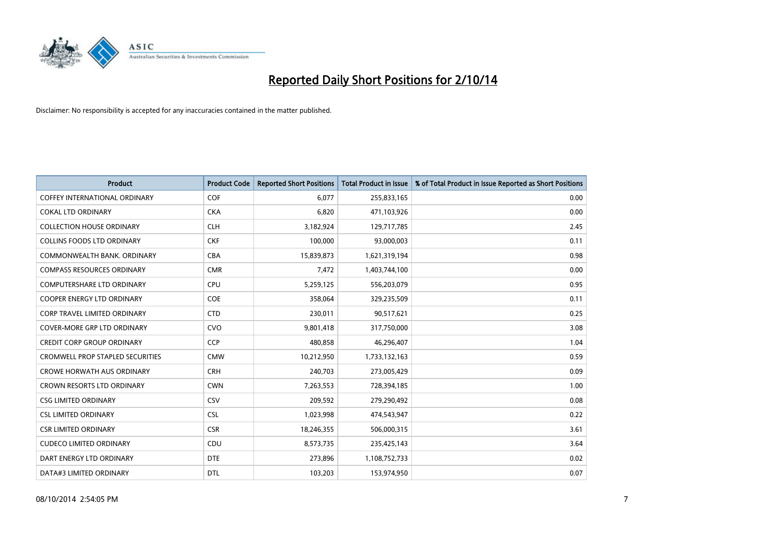

| <b>Product</b>                          | <b>Product Code</b> | <b>Reported Short Positions</b> | <b>Total Product in Issue</b> | % of Total Product in Issue Reported as Short Positions |
|-----------------------------------------|---------------------|---------------------------------|-------------------------------|---------------------------------------------------------|
| <b>COFFEY INTERNATIONAL ORDINARY</b>    | <b>COF</b>          | 6,077                           | 255,833,165                   | 0.00                                                    |
| <b>COKAL LTD ORDINARY</b>               | <b>CKA</b>          | 6,820                           | 471,103,926                   | 0.00                                                    |
| <b>COLLECTION HOUSE ORDINARY</b>        | <b>CLH</b>          | 3,182,924                       | 129,717,785                   | 2.45                                                    |
| <b>COLLINS FOODS LTD ORDINARY</b>       | <b>CKF</b>          | 100,000                         | 93,000,003                    | 0.11                                                    |
| COMMONWEALTH BANK, ORDINARY             | <b>CBA</b>          | 15,839,873                      | 1,621,319,194                 | 0.98                                                    |
| <b>COMPASS RESOURCES ORDINARY</b>       | <b>CMR</b>          | 7,472                           | 1,403,744,100                 | 0.00                                                    |
| <b>COMPUTERSHARE LTD ORDINARY</b>       | <b>CPU</b>          | 5,259,125                       | 556,203,079                   | 0.95                                                    |
| <b>COOPER ENERGY LTD ORDINARY</b>       | <b>COE</b>          | 358,064                         | 329,235,509                   | 0.11                                                    |
| <b>CORP TRAVEL LIMITED ORDINARY</b>     | <b>CTD</b>          | 230,011                         | 90,517,621                    | 0.25                                                    |
| <b>COVER-MORE GRP LTD ORDINARY</b>      | <b>CVO</b>          | 9,801,418                       | 317,750,000                   | 3.08                                                    |
| <b>CREDIT CORP GROUP ORDINARY</b>       | <b>CCP</b>          | 480,858                         | 46,296,407                    | 1.04                                                    |
| <b>CROMWELL PROP STAPLED SECURITIES</b> | <b>CMW</b>          | 10,212,950                      | 1,733,132,163                 | 0.59                                                    |
| <b>CROWE HORWATH AUS ORDINARY</b>       | <b>CRH</b>          | 240,703                         | 273,005,429                   | 0.09                                                    |
| <b>CROWN RESORTS LTD ORDINARY</b>       | <b>CWN</b>          | 7,263,553                       | 728,394,185                   | 1.00                                                    |
| <b>CSG LIMITED ORDINARY</b>             | CSV                 | 209,592                         | 279,290,492                   | 0.08                                                    |
| <b>CSL LIMITED ORDINARY</b>             | <b>CSL</b>          | 1,023,998                       | 474,543,947                   | 0.22                                                    |
| <b>CSR LIMITED ORDINARY</b>             | <b>CSR</b>          | 18,246,355                      | 506,000,315                   | 3.61                                                    |
| <b>CUDECO LIMITED ORDINARY</b>          | CDU                 | 8,573,735                       | 235,425,143                   | 3.64                                                    |
| DART ENERGY LTD ORDINARY                | <b>DTE</b>          | 273,896                         | 1,108,752,733                 | 0.02                                                    |
| DATA#3 LIMITED ORDINARY                 | <b>DTL</b>          | 103,203                         | 153,974,950                   | 0.07                                                    |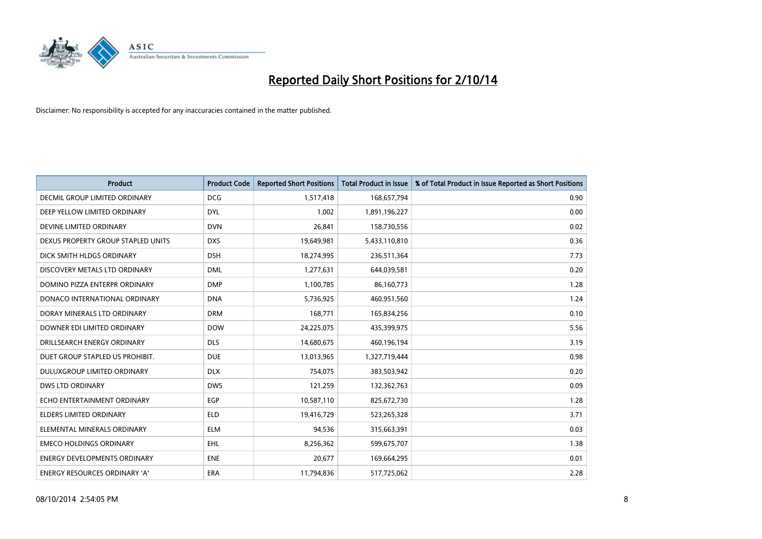

| <b>Product</b>                       | <b>Product Code</b> | <b>Reported Short Positions</b> | <b>Total Product in Issue</b> | % of Total Product in Issue Reported as Short Positions |
|--------------------------------------|---------------------|---------------------------------|-------------------------------|---------------------------------------------------------|
| <b>DECMIL GROUP LIMITED ORDINARY</b> | <b>DCG</b>          | 1,517,418                       | 168,657,794                   | 0.90                                                    |
| DEEP YELLOW LIMITED ORDINARY         | <b>DYL</b>          | 1,002                           | 1,891,196,227                 | 0.00                                                    |
| DEVINE LIMITED ORDINARY              | <b>DVN</b>          | 26,841                          | 158,730,556                   | 0.02                                                    |
| DEXUS PROPERTY GROUP STAPLED UNITS   | <b>DXS</b>          | 19,649,981                      | 5,433,110,810                 | 0.36                                                    |
| DICK SMITH HLDGS ORDINARY            | <b>DSH</b>          | 18,274,995                      | 236,511,364                   | 7.73                                                    |
| DISCOVERY METALS LTD ORDINARY        | <b>DML</b>          | 1,277,631                       | 644,039,581                   | 0.20                                                    |
| DOMINO PIZZA ENTERPR ORDINARY        | <b>DMP</b>          | 1,100,785                       | 86,160,773                    | 1.28                                                    |
| DONACO INTERNATIONAL ORDINARY        | <b>DNA</b>          | 5,736,925                       | 460,951,560                   | 1.24                                                    |
| DORAY MINERALS LTD ORDINARY          | <b>DRM</b>          | 168,771                         | 165,834,256                   | 0.10                                                    |
| DOWNER EDI LIMITED ORDINARY          | <b>DOW</b>          | 24,225,075                      | 435,399,975                   | 5.56                                                    |
| DRILLSEARCH ENERGY ORDINARY          | <b>DLS</b>          | 14,680,675                      | 460,196,194                   | 3.19                                                    |
| DUET GROUP STAPLED US PROHIBIT.      | <b>DUE</b>          | 13,013,965                      | 1,327,719,444                 | 0.98                                                    |
| DULUXGROUP LIMITED ORDINARY          | <b>DLX</b>          | 754,075                         | 383,503,942                   | 0.20                                                    |
| <b>DWS LTD ORDINARY</b>              | <b>DWS</b>          | 121,259                         | 132,362,763                   | 0.09                                                    |
| ECHO ENTERTAINMENT ORDINARY          | EGP                 | 10,587,110                      | 825,672,730                   | 1.28                                                    |
| ELDERS LIMITED ORDINARY              | <b>ELD</b>          | 19,416,729                      | 523,265,328                   | 3.71                                                    |
| ELEMENTAL MINERALS ORDINARY          | <b>ELM</b>          | 94,536                          | 315,663,391                   | 0.03                                                    |
| <b>EMECO HOLDINGS ORDINARY</b>       | <b>EHL</b>          | 8,256,362                       | 599,675,707                   | 1.38                                                    |
| <b>ENERGY DEVELOPMENTS ORDINARY</b>  | <b>ENE</b>          | 20,677                          | 169,664,295                   | 0.01                                                    |
| ENERGY RESOURCES ORDINARY 'A'        | ERA                 | 11,794,836                      | 517,725,062                   | 2.28                                                    |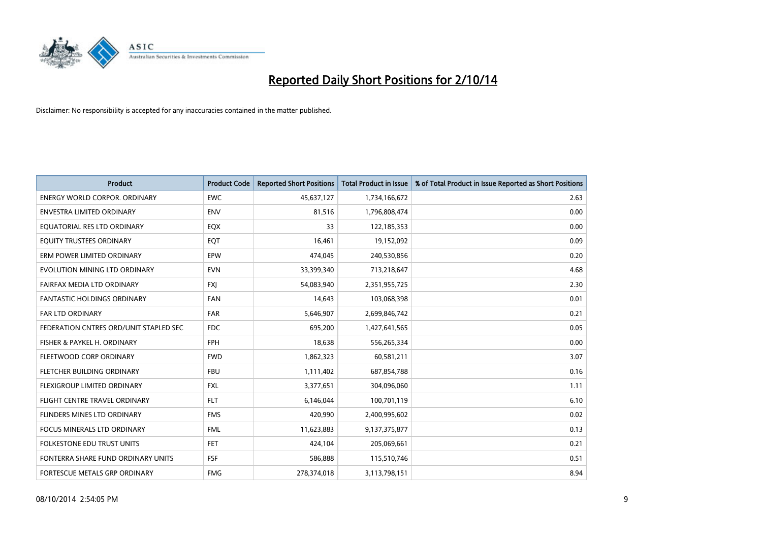

| <b>Product</b>                         | <b>Product Code</b> | <b>Reported Short Positions</b> | <b>Total Product in Issue</b> | % of Total Product in Issue Reported as Short Positions |
|----------------------------------------|---------------------|---------------------------------|-------------------------------|---------------------------------------------------------|
| <b>ENERGY WORLD CORPOR, ORDINARY</b>   | <b>EWC</b>          | 45,637,127                      | 1,734,166,672                 | 2.63                                                    |
| ENVESTRA LIMITED ORDINARY              | <b>ENV</b>          | 81,516                          | 1,796,808,474                 | 0.00                                                    |
| EQUATORIAL RES LTD ORDINARY            | EQX                 | 33                              | 122,185,353                   | 0.00                                                    |
| EQUITY TRUSTEES ORDINARY               | EQT                 | 16,461                          | 19,152,092                    | 0.09                                                    |
| ERM POWER LIMITED ORDINARY             | EPW                 | 474,045                         | 240,530,856                   | 0.20                                                    |
| EVOLUTION MINING LTD ORDINARY          | <b>EVN</b>          | 33,399,340                      | 713,218,647                   | 4.68                                                    |
| FAIRFAX MEDIA LTD ORDINARY             | <b>FXJ</b>          | 54,083,940                      | 2,351,955,725                 | 2.30                                                    |
| <b>FANTASTIC HOLDINGS ORDINARY</b>     | <b>FAN</b>          | 14,643                          | 103,068,398                   | 0.01                                                    |
| FAR LTD ORDINARY                       | <b>FAR</b>          | 5,646,907                       | 2,699,846,742                 | 0.21                                                    |
| FEDERATION CNTRES ORD/UNIT STAPLED SEC | <b>FDC</b>          | 695,200                         | 1,427,641,565                 | 0.05                                                    |
| FISHER & PAYKEL H. ORDINARY            | <b>FPH</b>          | 18,638                          | 556,265,334                   | 0.00                                                    |
| FLEETWOOD CORP ORDINARY                | <b>FWD</b>          | 1,862,323                       | 60,581,211                    | 3.07                                                    |
| FLETCHER BUILDING ORDINARY             | <b>FBU</b>          | 1,111,402                       | 687,854,788                   | 0.16                                                    |
| FLEXIGROUP LIMITED ORDINARY            | <b>FXL</b>          | 3,377,651                       | 304,096,060                   | 1.11                                                    |
| FLIGHT CENTRE TRAVEL ORDINARY          | <b>FLT</b>          | 6,146,044                       | 100,701,119                   | 6.10                                                    |
| FLINDERS MINES LTD ORDINARY            | <b>FMS</b>          | 420,990                         | 2,400,995,602                 | 0.02                                                    |
| <b>FOCUS MINERALS LTD ORDINARY</b>     | <b>FML</b>          | 11,623,883                      | 9,137,375,877                 | 0.13                                                    |
| FOLKESTONE EDU TRUST UNITS             | FET.                | 424,104                         | 205,069,661                   | 0.21                                                    |
| FONTERRA SHARE FUND ORDINARY UNITS     | <b>FSF</b>          | 586,888                         | 115,510,746                   | 0.51                                                    |
| FORTESCUE METALS GRP ORDINARY          | <b>FMG</b>          | 278,374,018                     | 3,113,798,151                 | 8.94                                                    |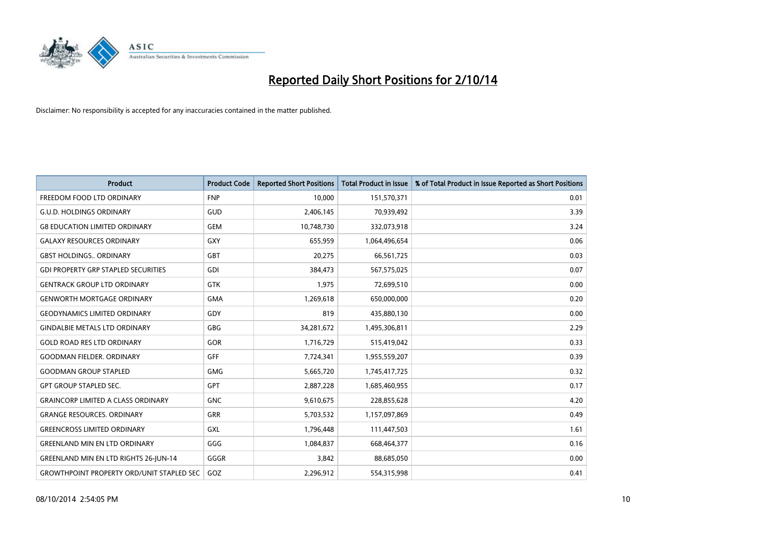

| <b>Product</b>                                   | <b>Product Code</b> | <b>Reported Short Positions</b> | <b>Total Product in Issue</b> | % of Total Product in Issue Reported as Short Positions |
|--------------------------------------------------|---------------------|---------------------------------|-------------------------------|---------------------------------------------------------|
| FREEDOM FOOD LTD ORDINARY                        | <b>FNP</b>          | 10,000                          | 151,570,371                   | 0.01                                                    |
| <b>G.U.D. HOLDINGS ORDINARY</b>                  | <b>GUD</b>          | 2,406,145                       | 70,939,492                    | 3.39                                                    |
| <b>G8 EDUCATION LIMITED ORDINARY</b>             | <b>GEM</b>          | 10,748,730                      | 332,073,918                   | 3.24                                                    |
| <b>GALAXY RESOURCES ORDINARY</b>                 | <b>GXY</b>          | 655,959                         | 1,064,496,654                 | 0.06                                                    |
| <b>GBST HOLDINGS., ORDINARY</b>                  | GBT                 | 20,275                          | 66,561,725                    | 0.03                                                    |
| <b>GDI PROPERTY GRP STAPLED SECURITIES</b>       | GDI                 | 384,473                         | 567,575,025                   | 0.07                                                    |
| <b>GENTRACK GROUP LTD ORDINARY</b>               | <b>GTK</b>          | 1,975                           | 72,699,510                    | 0.00                                                    |
| <b>GENWORTH MORTGAGE ORDINARY</b>                | <b>GMA</b>          | 1,269,618                       | 650,000,000                   | 0.20                                                    |
| <b>GEODYNAMICS LIMITED ORDINARY</b>              | GDY                 | 819                             | 435,880,130                   | 0.00                                                    |
| <b>GINDALBIE METALS LTD ORDINARY</b>             | GBG                 | 34,281,672                      | 1,495,306,811                 | 2.29                                                    |
| <b>GOLD ROAD RES LTD ORDINARY</b>                | GOR                 | 1,716,729                       | 515,419,042                   | 0.33                                                    |
| <b>GOODMAN FIELDER, ORDINARY</b>                 | <b>GFF</b>          | 7,724,341                       | 1,955,559,207                 | 0.39                                                    |
| <b>GOODMAN GROUP STAPLED</b>                     | <b>GMG</b>          | 5,665,720                       | 1,745,417,725                 | 0.32                                                    |
| <b>GPT GROUP STAPLED SEC.</b>                    | GPT                 | 2,887,228                       | 1,685,460,955                 | 0.17                                                    |
| <b>GRAINCORP LIMITED A CLASS ORDINARY</b>        | <b>GNC</b>          | 9,610,675                       | 228,855,628                   | 4.20                                                    |
| <b>GRANGE RESOURCES. ORDINARY</b>                | GRR                 | 5,703,532                       | 1,157,097,869                 | 0.49                                                    |
| <b>GREENCROSS LIMITED ORDINARY</b>               | GXL                 | 1,796,448                       | 111,447,503                   | 1.61                                                    |
| <b>GREENLAND MIN EN LTD ORDINARY</b>             | GGG                 | 1,084,837                       | 668,464,377                   | 0.16                                                    |
| <b>GREENLAND MIN EN LTD RIGHTS 26-JUN-14</b>     | GGGR                | 3,842                           | 88,685,050                    | 0.00                                                    |
| <b>GROWTHPOINT PROPERTY ORD/UNIT STAPLED SEC</b> | GOZ                 | 2,296,912                       | 554,315,998                   | 0.41                                                    |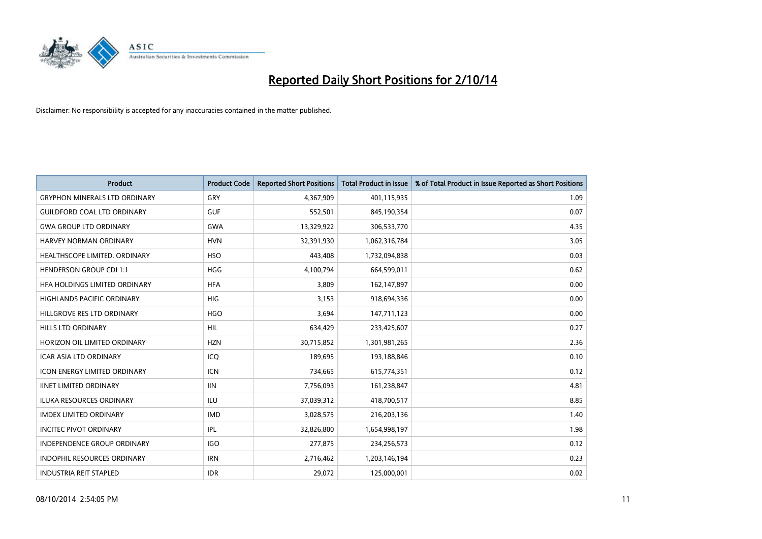

| <b>Product</b>                       | <b>Product Code</b> | <b>Reported Short Positions</b> | <b>Total Product in Issue</b> | % of Total Product in Issue Reported as Short Positions |
|--------------------------------------|---------------------|---------------------------------|-------------------------------|---------------------------------------------------------|
| <b>GRYPHON MINERALS LTD ORDINARY</b> | GRY                 | 4,367,909                       | 401,115,935                   | 1.09                                                    |
| <b>GUILDFORD COAL LTD ORDINARY</b>   | <b>GUF</b>          | 552,501                         | 845,190,354                   | 0.07                                                    |
| <b>GWA GROUP LTD ORDINARY</b>        | <b>GWA</b>          | 13,329,922                      | 306,533,770                   | 4.35                                                    |
| HARVEY NORMAN ORDINARY               | <b>HVN</b>          | 32,391,930                      | 1,062,316,784                 | 3.05                                                    |
| HEALTHSCOPE LIMITED. ORDINARY        | <b>HSO</b>          | 443,408                         | 1,732,094,838                 | 0.03                                                    |
| <b>HENDERSON GROUP CDI 1:1</b>       | <b>HGG</b>          | 4,100,794                       | 664,599,011                   | 0.62                                                    |
| <b>HFA HOLDINGS LIMITED ORDINARY</b> | <b>HFA</b>          | 3,809                           | 162,147,897                   | 0.00                                                    |
| HIGHLANDS PACIFIC ORDINARY           | <b>HIG</b>          | 3,153                           | 918,694,336                   | 0.00                                                    |
| HILLGROVE RES LTD ORDINARY           | <b>HGO</b>          | 3,694                           | 147,711,123                   | 0.00                                                    |
| HILLS LTD ORDINARY                   | <b>HIL</b>          | 634,429                         | 233,425,607                   | 0.27                                                    |
| HORIZON OIL LIMITED ORDINARY         | <b>HZN</b>          | 30,715,852                      | 1,301,981,265                 | 2.36                                                    |
| <b>ICAR ASIA LTD ORDINARY</b>        | ICQ                 | 189,695                         | 193,188,846                   | 0.10                                                    |
| <b>ICON ENERGY LIMITED ORDINARY</b>  | <b>ICN</b>          | 734,665                         | 615,774,351                   | 0.12                                                    |
| <b>IINET LIMITED ORDINARY</b>        | <b>IIN</b>          | 7,756,093                       | 161,238,847                   | 4.81                                                    |
| <b>ILUKA RESOURCES ORDINARY</b>      | ILU                 | 37,039,312                      | 418,700,517                   | 8.85                                                    |
| <b>IMDEX LIMITED ORDINARY</b>        | <b>IMD</b>          | 3,028,575                       | 216,203,136                   | 1.40                                                    |
| <b>INCITEC PIVOT ORDINARY</b>        | <b>IPL</b>          | 32,826,800                      | 1,654,998,197                 | 1.98                                                    |
| INDEPENDENCE GROUP ORDINARY          | <b>IGO</b>          | 277,875                         | 234,256,573                   | 0.12                                                    |
| <b>INDOPHIL RESOURCES ORDINARY</b>   | <b>IRN</b>          | 2,716,462                       | 1,203,146,194                 | 0.23                                                    |
| <b>INDUSTRIA REIT STAPLED</b>        | <b>IDR</b>          | 29,072                          | 125,000,001                   | 0.02                                                    |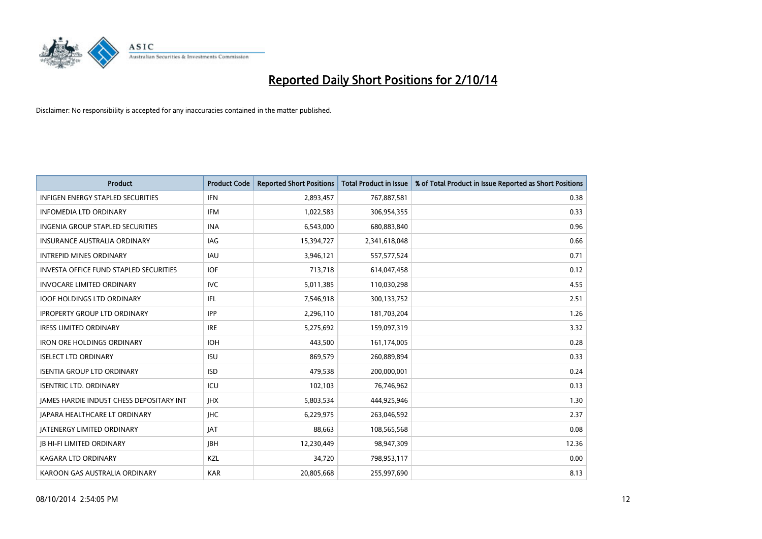

| <b>Product</b>                                | <b>Product Code</b> | <b>Reported Short Positions</b> | <b>Total Product in Issue</b> | % of Total Product in Issue Reported as Short Positions |
|-----------------------------------------------|---------------------|---------------------------------|-------------------------------|---------------------------------------------------------|
| <b>INFIGEN ENERGY STAPLED SECURITIES</b>      | <b>IFN</b>          | 2,893,457                       | 767,887,581                   | 0.38                                                    |
| <b>INFOMEDIA LTD ORDINARY</b>                 | <b>IFM</b>          | 1,022,583                       | 306,954,355                   | 0.33                                                    |
| <b>INGENIA GROUP STAPLED SECURITIES</b>       | <b>INA</b>          | 6,543,000                       | 680,883,840                   | 0.96                                                    |
| INSURANCE AUSTRALIA ORDINARY                  | IAG                 | 15,394,727                      | 2,341,618,048                 | 0.66                                                    |
| <b>INTREPID MINES ORDINARY</b>                | <b>IAU</b>          | 3,946,121                       | 557, 577, 524                 | 0.71                                                    |
| <b>INVESTA OFFICE FUND STAPLED SECURITIES</b> | <b>IOF</b>          | 713,718                         | 614,047,458                   | 0.12                                                    |
| <b>INVOCARE LIMITED ORDINARY</b>              | IVC.                | 5,011,385                       | 110,030,298                   | 4.55                                                    |
| <b>IOOF HOLDINGS LTD ORDINARY</b>             | IFL                 | 7,546,918                       | 300,133,752                   | 2.51                                                    |
| <b>IPROPERTY GROUP LTD ORDINARY</b>           | <b>IPP</b>          | 2,296,110                       | 181,703,204                   | 1.26                                                    |
| <b>IRESS LIMITED ORDINARY</b>                 | <b>IRE</b>          | 5,275,692                       | 159,097,319                   | 3.32                                                    |
| <b>IRON ORE HOLDINGS ORDINARY</b>             | <b>IOH</b>          | 443,500                         | 161,174,005                   | 0.28                                                    |
| <b>ISELECT LTD ORDINARY</b>                   | <b>ISU</b>          | 869,579                         | 260,889,894                   | 0.33                                                    |
| <b>ISENTIA GROUP LTD ORDINARY</b>             | <b>ISD</b>          | 479,538                         | 200,000,001                   | 0.24                                                    |
| <b>ISENTRIC LTD. ORDINARY</b>                 | ICU                 | 102,103                         | 76,746,962                    | 0.13                                                    |
| JAMES HARDIE INDUST CHESS DEPOSITARY INT      | <b>IHX</b>          | 5,803,534                       | 444,925,946                   | 1.30                                                    |
| <b>JAPARA HEALTHCARE LT ORDINARY</b>          | <b>IHC</b>          | 6,229,975                       | 263,046,592                   | 2.37                                                    |
| <b>JATENERGY LIMITED ORDINARY</b>             | <b>JAT</b>          | 88,663                          | 108,565,568                   | 0.08                                                    |
| <b>JB HI-FI LIMITED ORDINARY</b>              | <b>JBH</b>          | 12,230,449                      | 98,947,309                    | 12.36                                                   |
| <b>KAGARA LTD ORDINARY</b>                    | KZL                 | 34,720                          | 798,953,117                   | 0.00                                                    |
| KAROON GAS AUSTRALIA ORDINARY                 | <b>KAR</b>          | 20,805,668                      | 255,997,690                   | 8.13                                                    |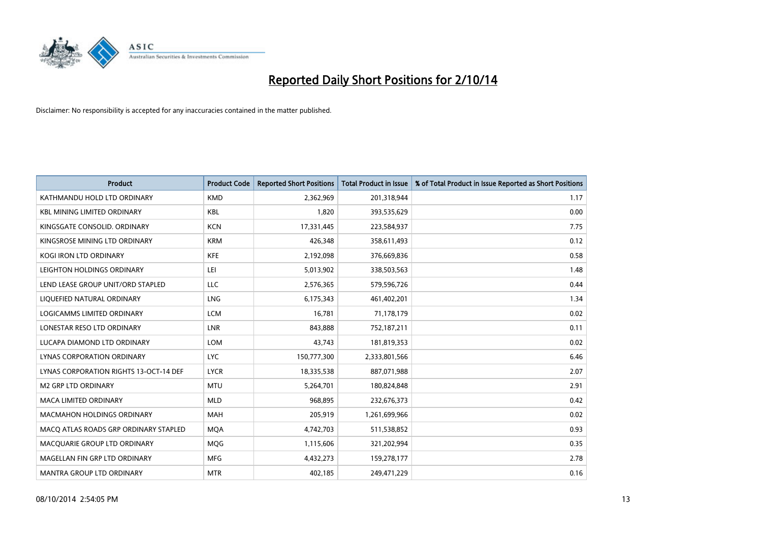

| <b>Product</b>                         | <b>Product Code</b> | <b>Reported Short Positions</b> | <b>Total Product in Issue</b> | % of Total Product in Issue Reported as Short Positions |
|----------------------------------------|---------------------|---------------------------------|-------------------------------|---------------------------------------------------------|
| KATHMANDU HOLD LTD ORDINARY            | <b>KMD</b>          | 2,362,969                       | 201,318,944                   | 1.17                                                    |
| <b>KBL MINING LIMITED ORDINARY</b>     | <b>KBL</b>          | 1,820                           | 393,535,629                   | 0.00                                                    |
| KINGSGATE CONSOLID. ORDINARY           | <b>KCN</b>          | 17,331,445                      | 223,584,937                   | 7.75                                                    |
| KINGSROSE MINING LTD ORDINARY          | <b>KRM</b>          | 426,348                         | 358,611,493                   | 0.12                                                    |
| <b>KOGI IRON LTD ORDINARY</b>          | <b>KFE</b>          | 2,192,098                       | 376,669,836                   | 0.58                                                    |
| LEIGHTON HOLDINGS ORDINARY             | LEI                 | 5,013,902                       | 338,503,563                   | 1.48                                                    |
| LEND LEASE GROUP UNIT/ORD STAPLED      | <b>LLC</b>          | 2,576,365                       | 579,596,726                   | 0.44                                                    |
| LIQUEFIED NATURAL ORDINARY             | LNG                 | 6,175,343                       | 461,402,201                   | 1.34                                                    |
| <b>LOGICAMMS LIMITED ORDINARY</b>      | <b>LCM</b>          | 16,781                          | 71,178,179                    | 0.02                                                    |
| LONESTAR RESO LTD ORDINARY             | <b>LNR</b>          | 843,888                         | 752,187,211                   | 0.11                                                    |
| LUCAPA DIAMOND LTD ORDINARY            | <b>LOM</b>          | 43,743                          | 181,819,353                   | 0.02                                                    |
| <b>LYNAS CORPORATION ORDINARY</b>      | <b>LYC</b>          | 150,777,300                     | 2,333,801,566                 | 6.46                                                    |
| LYNAS CORPORATION RIGHTS 13-OCT-14 DEF | <b>LYCR</b>         | 18,335,538                      | 887,071,988                   | 2.07                                                    |
| <b>M2 GRP LTD ORDINARY</b>             | <b>MTU</b>          | 5,264,701                       | 180,824,848                   | 2.91                                                    |
| <b>MACA LIMITED ORDINARY</b>           | <b>MLD</b>          | 968,895                         | 232,676,373                   | 0.42                                                    |
| <b>MACMAHON HOLDINGS ORDINARY</b>      | <b>MAH</b>          | 205,919                         | 1,261,699,966                 | 0.02                                                    |
| MACO ATLAS ROADS GRP ORDINARY STAPLED  | <b>MOA</b>          | 4,742,703                       | 511,538,852                   | 0.93                                                    |
| MACQUARIE GROUP LTD ORDINARY           | <b>MOG</b>          | 1,115,606                       | 321,202,994                   | 0.35                                                    |
| MAGELLAN FIN GRP LTD ORDINARY          | <b>MFG</b>          | 4,432,273                       | 159,278,177                   | 2.78                                                    |
| <b>MANTRA GROUP LTD ORDINARY</b>       | <b>MTR</b>          | 402,185                         | 249,471,229                   | 0.16                                                    |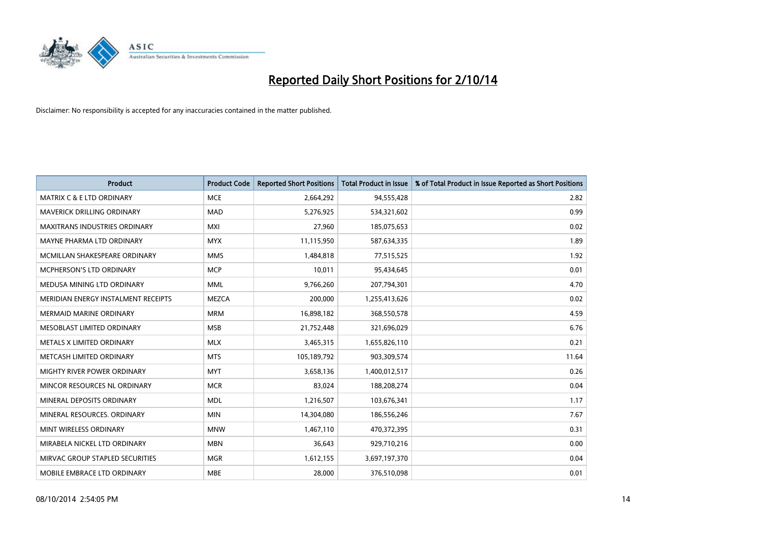

| <b>Product</b>                       | <b>Product Code</b> | <b>Reported Short Positions</b> | <b>Total Product in Issue</b> | % of Total Product in Issue Reported as Short Positions |
|--------------------------------------|---------------------|---------------------------------|-------------------------------|---------------------------------------------------------|
| <b>MATRIX C &amp; E LTD ORDINARY</b> | <b>MCE</b>          | 2,664,292                       | 94,555,428                    | 2.82                                                    |
| MAVERICK DRILLING ORDINARY           | <b>MAD</b>          | 5,276,925                       | 534,321,602                   | 0.99                                                    |
| <b>MAXITRANS INDUSTRIES ORDINARY</b> | <b>MXI</b>          | 27,960                          | 185,075,653                   | 0.02                                                    |
| MAYNE PHARMA LTD ORDINARY            | <b>MYX</b>          | 11,115,950                      | 587,634,335                   | 1.89                                                    |
| MCMILLAN SHAKESPEARE ORDINARY        | <b>MMS</b>          | 1,484,818                       | 77,515,525                    | 1.92                                                    |
| <b>MCPHERSON'S LTD ORDINARY</b>      | <b>MCP</b>          | 10,011                          | 95,434,645                    | 0.01                                                    |
| MEDUSA MINING LTD ORDINARY           | <b>MML</b>          | 9,766,260                       | 207,794,301                   | 4.70                                                    |
| MERIDIAN ENERGY INSTALMENT RECEIPTS  | <b>MEZCA</b>        | 200,000                         | 1,255,413,626                 | 0.02                                                    |
| <b>MERMAID MARINE ORDINARY</b>       | <b>MRM</b>          | 16,898,182                      | 368,550,578                   | 4.59                                                    |
| MESOBLAST LIMITED ORDINARY           | <b>MSB</b>          | 21,752,448                      | 321,696,029                   | 6.76                                                    |
| METALS X LIMITED ORDINARY            | <b>MLX</b>          | 3,465,315                       | 1,655,826,110                 | 0.21                                                    |
| METCASH LIMITED ORDINARY             | <b>MTS</b>          | 105,189,792                     | 903,309,574                   | 11.64                                                   |
| MIGHTY RIVER POWER ORDINARY          | <b>MYT</b>          | 3,658,136                       | 1,400,012,517                 | 0.26                                                    |
| MINCOR RESOURCES NL ORDINARY         | <b>MCR</b>          | 83,024                          | 188,208,274                   | 0.04                                                    |
| MINERAL DEPOSITS ORDINARY            | <b>MDL</b>          | 1,216,507                       | 103,676,341                   | 1.17                                                    |
| MINERAL RESOURCES. ORDINARY          | <b>MIN</b>          | 14,304,080                      | 186,556,246                   | 7.67                                                    |
| MINT WIRELESS ORDINARY               | <b>MNW</b>          | 1,467,110                       | 470,372,395                   | 0.31                                                    |
| MIRABELA NICKEL LTD ORDINARY         | <b>MBN</b>          | 36,643                          | 929,710,216                   | 0.00                                                    |
| MIRVAC GROUP STAPLED SECURITIES      | <b>MGR</b>          | 1,612,155                       | 3,697,197,370                 | 0.04                                                    |
| MOBILE EMBRACE LTD ORDINARY          | <b>MBE</b>          | 28,000                          | 376,510,098                   | 0.01                                                    |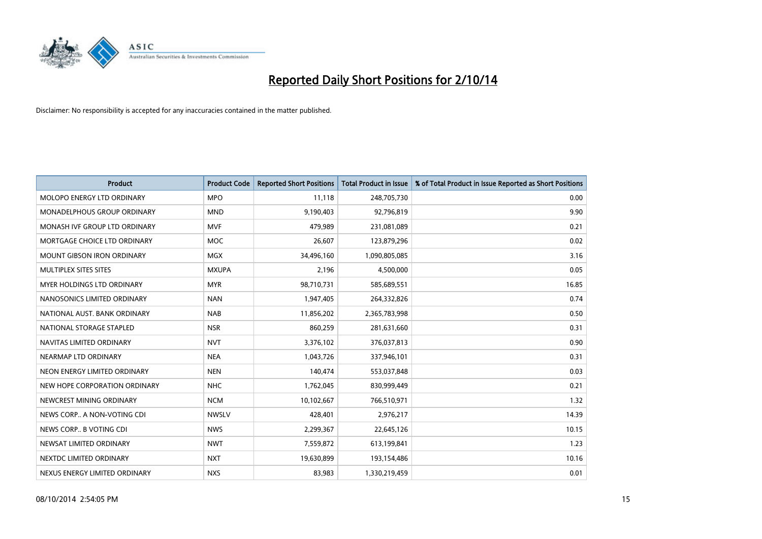

| <b>Product</b>                    | <b>Product Code</b> | <b>Reported Short Positions</b> | <b>Total Product in Issue</b> | % of Total Product in Issue Reported as Short Positions |
|-----------------------------------|---------------------|---------------------------------|-------------------------------|---------------------------------------------------------|
| MOLOPO ENERGY LTD ORDINARY        | <b>MPO</b>          | 11,118                          | 248,705,730                   | 0.00                                                    |
| MONADELPHOUS GROUP ORDINARY       | <b>MND</b>          | 9,190,403                       | 92,796,819                    | 9.90                                                    |
| MONASH IVF GROUP LTD ORDINARY     | MVF                 | 479,989                         | 231,081,089                   | 0.21                                                    |
| MORTGAGE CHOICE LTD ORDINARY      | <b>MOC</b>          | 26,607                          | 123,879,296                   | 0.02                                                    |
| <b>MOUNT GIBSON IRON ORDINARY</b> | MGX                 | 34,496,160                      | 1,090,805,085                 | 3.16                                                    |
| MULTIPLEX SITES SITES             | <b>MXUPA</b>        | 2,196                           | 4,500,000                     | 0.05                                                    |
| MYER HOLDINGS LTD ORDINARY        | <b>MYR</b>          | 98,710,731                      | 585,689,551                   | 16.85                                                   |
| NANOSONICS LIMITED ORDINARY       | <b>NAN</b>          | 1,947,405                       | 264,332,826                   | 0.74                                                    |
| NATIONAL AUST, BANK ORDINARY      | <b>NAB</b>          | 11,856,202                      | 2,365,783,998                 | 0.50                                                    |
| NATIONAL STORAGE STAPLED          | <b>NSR</b>          | 860,259                         | 281,631,660                   | 0.31                                                    |
| NAVITAS LIMITED ORDINARY          | <b>NVT</b>          | 3,376,102                       | 376,037,813                   | 0.90                                                    |
| NEARMAP LTD ORDINARY              | <b>NEA</b>          | 1,043,726                       | 337,946,101                   | 0.31                                                    |
| NEON ENERGY LIMITED ORDINARY      | <b>NEN</b>          | 140,474                         | 553,037,848                   | 0.03                                                    |
| NEW HOPE CORPORATION ORDINARY     | <b>NHC</b>          | 1,762,045                       | 830,999,449                   | 0.21                                                    |
| NEWCREST MINING ORDINARY          | <b>NCM</b>          | 10,102,667                      | 766,510,971                   | 1.32                                                    |
| NEWS CORP A NON-VOTING CDI        | <b>NWSLV</b>        | 428,401                         | 2,976,217                     | 14.39                                                   |
| NEWS CORP B VOTING CDI            | <b>NWS</b>          | 2,299,367                       | 22,645,126                    | 10.15                                                   |
| NEWSAT LIMITED ORDINARY           | <b>NWT</b>          | 7,559,872                       | 613,199,841                   | 1.23                                                    |
| NEXTDC LIMITED ORDINARY           | <b>NXT</b>          | 19,630,899                      | 193,154,486                   | 10.16                                                   |
| NEXUS ENERGY LIMITED ORDINARY     | <b>NXS</b>          | 83,983                          | 1,330,219,459                 | 0.01                                                    |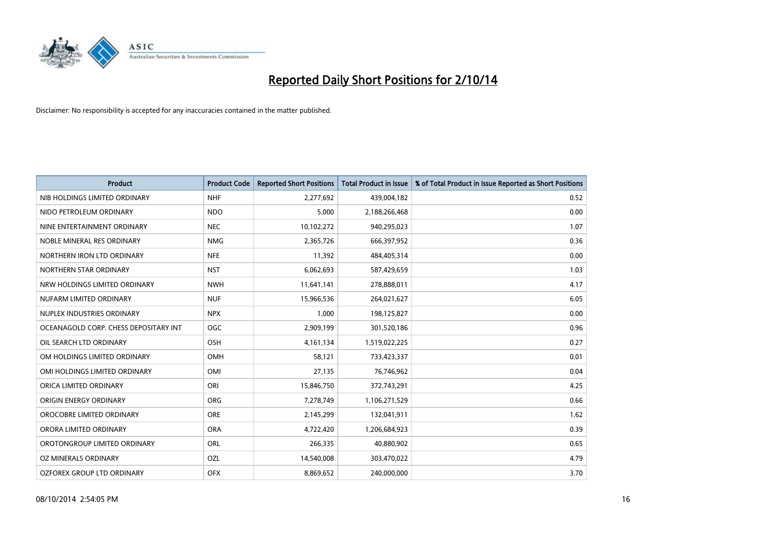

| <b>Product</b>                        | <b>Product Code</b> | <b>Reported Short Positions</b> | <b>Total Product in Issue</b> | % of Total Product in Issue Reported as Short Positions |
|---------------------------------------|---------------------|---------------------------------|-------------------------------|---------------------------------------------------------|
| NIB HOLDINGS LIMITED ORDINARY         | <b>NHF</b>          | 2,277,692                       | 439,004,182                   | 0.52                                                    |
| NIDO PETROLEUM ORDINARY               | <b>NDO</b>          | 5,000                           | 2,188,266,468                 | 0.00                                                    |
| NINE ENTERTAINMENT ORDINARY           | <b>NEC</b>          | 10,102,272                      | 940,295,023                   | 1.07                                                    |
| NOBLE MINERAL RES ORDINARY            | <b>NMG</b>          | 2,365,726                       | 666,397,952                   | 0.36                                                    |
| NORTHERN IRON LTD ORDINARY            | <b>NFE</b>          | 11,392                          | 484,405,314                   | 0.00                                                    |
| NORTHERN STAR ORDINARY                | <b>NST</b>          | 6,062,693                       | 587,429,659                   | 1.03                                                    |
| NRW HOLDINGS LIMITED ORDINARY         | <b>NWH</b>          | 11,641,141                      | 278,888,011                   | 4.17                                                    |
| NUFARM LIMITED ORDINARY               | <b>NUF</b>          | 15,966,536                      | 264,021,627                   | 6.05                                                    |
| NUPLEX INDUSTRIES ORDINARY            | <b>NPX</b>          | 1,000                           | 198,125,827                   | 0.00                                                    |
| OCEANAGOLD CORP. CHESS DEPOSITARY INT | <b>OGC</b>          | 2,909,199                       | 301,520,186                   | 0.96                                                    |
| OIL SEARCH LTD ORDINARY               | OSH                 | 4,161,134                       | 1,519,022,225                 | 0.27                                                    |
| OM HOLDINGS LIMITED ORDINARY          | OMH                 | 58,121                          | 733,423,337                   | 0.01                                                    |
| OMI HOLDINGS LIMITED ORDINARY         | OMI                 | 27,135                          | 76,746,962                    | 0.04                                                    |
| ORICA LIMITED ORDINARY                | ORI                 | 15,846,750                      | 372,743,291                   | 4.25                                                    |
| ORIGIN ENERGY ORDINARY                | <b>ORG</b>          | 7,278,749                       | 1,106,271,529                 | 0.66                                                    |
| OROCOBRE LIMITED ORDINARY             | <b>ORE</b>          | 2,145,299                       | 132,041,911                   | 1.62                                                    |
| ORORA LIMITED ORDINARY                | <b>ORA</b>          | 4,722,420                       | 1,206,684,923                 | 0.39                                                    |
| OROTONGROUP LIMITED ORDINARY          | ORL                 | 266,335                         | 40,880,902                    | 0.65                                                    |
| OZ MINERALS ORDINARY                  | OZL                 | 14,540,008                      | 303,470,022                   | 4.79                                                    |
| OZFOREX GROUP LTD ORDINARY            | <b>OFX</b>          | 8,869,652                       | 240,000,000                   | 3.70                                                    |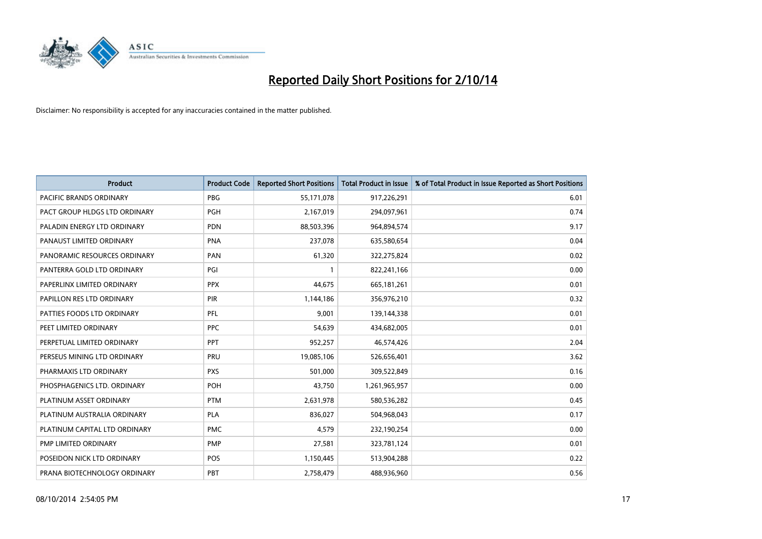

| <b>Product</b>                 | <b>Product Code</b> | <b>Reported Short Positions</b> | <b>Total Product in Issue</b> | % of Total Product in Issue Reported as Short Positions |
|--------------------------------|---------------------|---------------------------------|-------------------------------|---------------------------------------------------------|
| <b>PACIFIC BRANDS ORDINARY</b> | <b>PBG</b>          | 55,171,078                      | 917,226,291                   | 6.01                                                    |
| PACT GROUP HLDGS LTD ORDINARY  | <b>PGH</b>          | 2,167,019                       | 294,097,961                   | 0.74                                                    |
| PALADIN ENERGY LTD ORDINARY    | <b>PDN</b>          | 88,503,396                      | 964,894,574                   | 9.17                                                    |
| PANAUST LIMITED ORDINARY       | <b>PNA</b>          | 237,078                         | 635,580,654                   | 0.04                                                    |
| PANORAMIC RESOURCES ORDINARY   | PAN                 | 61,320                          | 322,275,824                   | 0.02                                                    |
| PANTERRA GOLD LTD ORDINARY     | PGI                 |                                 | 822,241,166                   | 0.00                                                    |
| PAPERLINX LIMITED ORDINARY     | <b>PPX</b>          | 44,675                          | 665, 181, 261                 | 0.01                                                    |
| PAPILLON RES LTD ORDINARY      | PIR                 | 1,144,186                       | 356,976,210                   | 0.32                                                    |
| PATTIES FOODS LTD ORDINARY     | PFL                 | 9,001                           | 139,144,338                   | 0.01                                                    |
| PEET LIMITED ORDINARY          | <b>PPC</b>          | 54,639                          | 434,682,005                   | 0.01                                                    |
| PERPETUAL LIMITED ORDINARY     | PPT                 | 952,257                         | 46,574,426                    | 2.04                                                    |
| PERSEUS MINING LTD ORDINARY    | PRU                 | 19,085,106                      | 526,656,401                   | 3.62                                                    |
| PHARMAXIS LTD ORDINARY         | <b>PXS</b>          | 501,000                         | 309,522,849                   | 0.16                                                    |
| PHOSPHAGENICS LTD. ORDINARY    | <b>POH</b>          | 43,750                          | 1,261,965,957                 | 0.00                                                    |
| PLATINUM ASSET ORDINARY        | <b>PTM</b>          | 2,631,978                       | 580,536,282                   | 0.45                                                    |
| PLATINUM AUSTRALIA ORDINARY    | <b>PLA</b>          | 836,027                         | 504,968,043                   | 0.17                                                    |
| PLATINUM CAPITAL LTD ORDINARY  | <b>PMC</b>          | 4,579                           | 232,190,254                   | 0.00                                                    |
| PMP LIMITED ORDINARY           | <b>PMP</b>          | 27,581                          | 323,781,124                   | 0.01                                                    |
| POSEIDON NICK LTD ORDINARY     | <b>POS</b>          | 1,150,445                       | 513,904,288                   | 0.22                                                    |
| PRANA BIOTECHNOLOGY ORDINARY   | PBT                 | 2,758,479                       | 488,936,960                   | 0.56                                                    |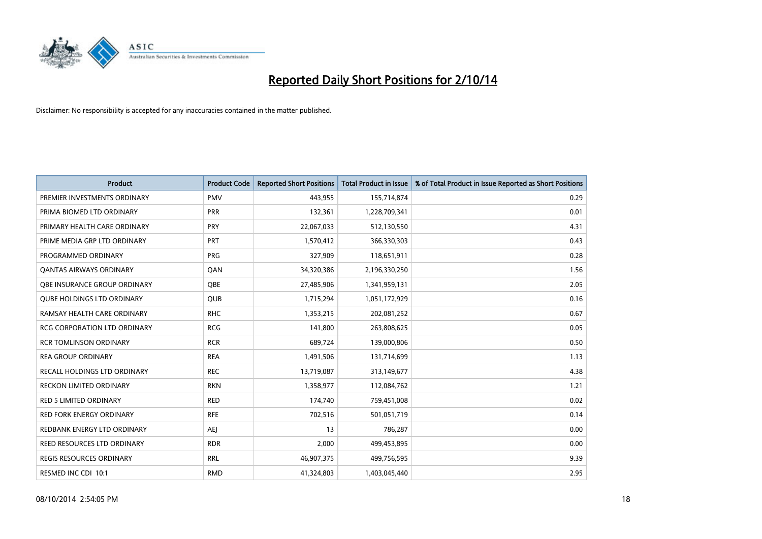

| <b>Product</b>                      | <b>Product Code</b> | <b>Reported Short Positions</b> | <b>Total Product in Issue</b> | % of Total Product in Issue Reported as Short Positions |
|-------------------------------------|---------------------|---------------------------------|-------------------------------|---------------------------------------------------------|
| PREMIER INVESTMENTS ORDINARY        | <b>PMV</b>          | 443,955                         | 155,714,874                   | 0.29                                                    |
| PRIMA BIOMED LTD ORDINARY           | <b>PRR</b>          | 132,361                         | 1,228,709,341                 | 0.01                                                    |
| PRIMARY HEALTH CARE ORDINARY        | <b>PRY</b>          | 22,067,033                      | 512,130,550                   | 4.31                                                    |
| PRIME MEDIA GRP LTD ORDINARY        | <b>PRT</b>          | 1,570,412                       | 366,330,303                   | 0.43                                                    |
| PROGRAMMED ORDINARY                 | PRG                 | 327,909                         | 118,651,911                   | 0.28                                                    |
| <b>QANTAS AIRWAYS ORDINARY</b>      | QAN                 | 34,320,386                      | 2,196,330,250                 | 1.56                                                    |
| OBE INSURANCE GROUP ORDINARY        | <b>OBE</b>          | 27,485,906                      | 1,341,959,131                 | 2.05                                                    |
| <b>QUBE HOLDINGS LTD ORDINARY</b>   | QUB                 | 1,715,294                       | 1,051,172,929                 | 0.16                                                    |
| RAMSAY HEALTH CARE ORDINARY         | <b>RHC</b>          | 1,353,215                       | 202,081,252                   | 0.67                                                    |
| <b>RCG CORPORATION LTD ORDINARY</b> | <b>RCG</b>          | 141,800                         | 263,808,625                   | 0.05                                                    |
| <b>RCR TOMLINSON ORDINARY</b>       | <b>RCR</b>          | 689,724                         | 139,000,806                   | 0.50                                                    |
| <b>REA GROUP ORDINARY</b>           | <b>REA</b>          | 1,491,506                       | 131,714,699                   | 1.13                                                    |
| RECALL HOLDINGS LTD ORDINARY        | <b>REC</b>          | 13,719,087                      | 313,149,677                   | 4.38                                                    |
| <b>RECKON LIMITED ORDINARY</b>      | <b>RKN</b>          | 1,358,977                       | 112,084,762                   | 1.21                                                    |
| <b>RED 5 LIMITED ORDINARY</b>       | <b>RED</b>          | 174,740                         | 759,451,008                   | 0.02                                                    |
| RED FORK ENERGY ORDINARY            | <b>RFE</b>          | 702,516                         | 501,051,719                   | 0.14                                                    |
| REDBANK ENERGY LTD ORDINARY         | <b>AEJ</b>          | 13                              | 786,287                       | 0.00                                                    |
| REED RESOURCES LTD ORDINARY         | <b>RDR</b>          | 2,000                           | 499,453,895                   | 0.00                                                    |
| <b>REGIS RESOURCES ORDINARY</b>     | <b>RRL</b>          | 46,907,375                      | 499,756,595                   | 9.39                                                    |
| RESMED INC CDI 10:1                 | <b>RMD</b>          | 41,324,803                      | 1,403,045,440                 | 2.95                                                    |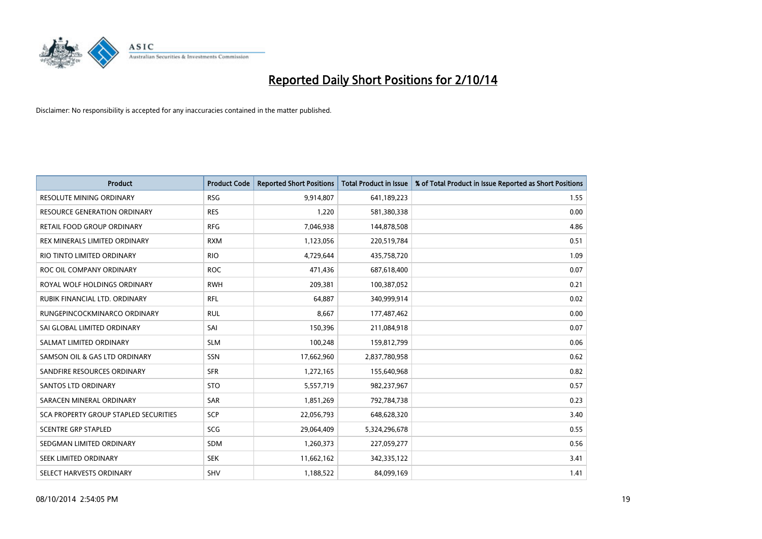

| <b>Product</b>                        | <b>Product Code</b> | <b>Reported Short Positions</b> | <b>Total Product in Issue</b> | % of Total Product in Issue Reported as Short Positions |
|---------------------------------------|---------------------|---------------------------------|-------------------------------|---------------------------------------------------------|
| <b>RESOLUTE MINING ORDINARY</b>       | <b>RSG</b>          | 9,914,807                       | 641,189,223                   | 1.55                                                    |
| RESOURCE GENERATION ORDINARY          | <b>RES</b>          | 1,220                           | 581,380,338                   | 0.00                                                    |
| RETAIL FOOD GROUP ORDINARY            | <b>RFG</b>          | 7,046,938                       | 144,878,508                   | 4.86                                                    |
| REX MINERALS LIMITED ORDINARY         | <b>RXM</b>          | 1,123,056                       | 220,519,784                   | 0.51                                                    |
| RIO TINTO LIMITED ORDINARY            | <b>RIO</b>          | 4,729,644                       | 435,758,720                   | 1.09                                                    |
| ROC OIL COMPANY ORDINARY              | <b>ROC</b>          | 471,436                         | 687,618,400                   | 0.07                                                    |
| ROYAL WOLF HOLDINGS ORDINARY          | <b>RWH</b>          | 209,381                         | 100,387,052                   | 0.21                                                    |
| RUBIK FINANCIAL LTD. ORDINARY         | <b>RFL</b>          | 64,887                          | 340,999,914                   | 0.02                                                    |
| RUNGEPINCOCKMINARCO ORDINARY          | <b>RUL</b>          | 8,667                           | 177,487,462                   | 0.00                                                    |
| SAI GLOBAL LIMITED ORDINARY           | SAI                 | 150,396                         | 211,084,918                   | 0.07                                                    |
| SALMAT LIMITED ORDINARY               | <b>SLM</b>          | 100,248                         | 159,812,799                   | 0.06                                                    |
| SAMSON OIL & GAS LTD ORDINARY         | SSN                 | 17,662,960                      | 2,837,780,958                 | 0.62                                                    |
| SANDFIRE RESOURCES ORDINARY           | <b>SFR</b>          | 1,272,165                       | 155,640,968                   | 0.82                                                    |
| SANTOS LTD ORDINARY                   | <b>STO</b>          | 5,557,719                       | 982,237,967                   | 0.57                                                    |
| SARACEN MINERAL ORDINARY              | SAR                 | 1,851,269                       | 792,784,738                   | 0.23                                                    |
| SCA PROPERTY GROUP STAPLED SECURITIES | SCP                 | 22,056,793                      | 648,628,320                   | 3.40                                                    |
| <b>SCENTRE GRP STAPLED</b>            | SCG                 | 29,064,409                      | 5,324,296,678                 | 0.55                                                    |
| SEDGMAN LIMITED ORDINARY              | <b>SDM</b>          | 1,260,373                       | 227,059,277                   | 0.56                                                    |
| SEEK LIMITED ORDINARY                 | <b>SEK</b>          | 11,662,162                      | 342,335,122                   | 3.41                                                    |
| SELECT HARVESTS ORDINARY              | SHV                 | 1,188,522                       | 84,099,169                    | 1.41                                                    |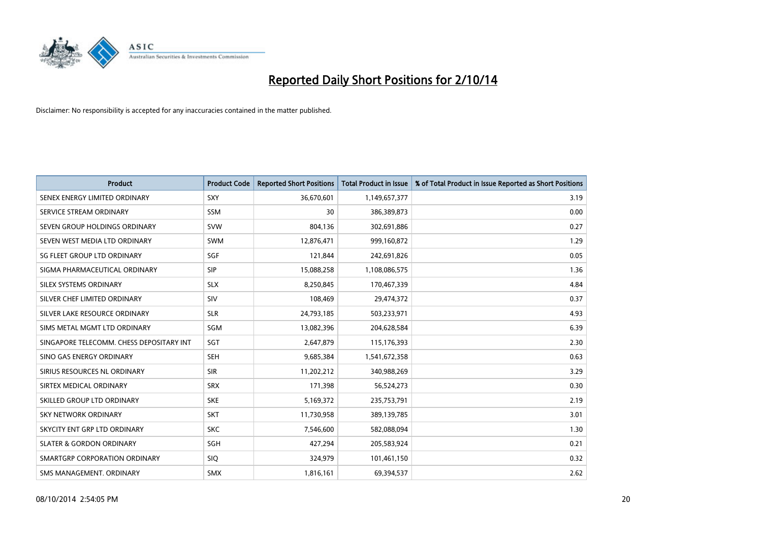

| <b>Product</b>                           | <b>Product Code</b> | <b>Reported Short Positions</b> | <b>Total Product in Issue</b> | % of Total Product in Issue Reported as Short Positions |
|------------------------------------------|---------------------|---------------------------------|-------------------------------|---------------------------------------------------------|
| SENEX ENERGY LIMITED ORDINARY            | <b>SXY</b>          | 36,670,601                      | 1,149,657,377                 | 3.19                                                    |
| SERVICE STREAM ORDINARY                  | <b>SSM</b>          | 30                              | 386,389,873                   | 0.00                                                    |
| SEVEN GROUP HOLDINGS ORDINARY            | <b>SVW</b>          | 804,136                         | 302,691,886                   | 0.27                                                    |
| SEVEN WEST MEDIA LTD ORDINARY            | <b>SWM</b>          | 12,876,471                      | 999,160,872                   | 1.29                                                    |
| SG FLEET GROUP LTD ORDINARY              | SGF                 | 121,844                         | 242,691,826                   | 0.05                                                    |
| SIGMA PHARMACEUTICAL ORDINARY            | <b>SIP</b>          | 15,088,258                      | 1,108,086,575                 | 1.36                                                    |
| SILEX SYSTEMS ORDINARY                   | <b>SLX</b>          | 8,250,845                       | 170,467,339                   | 4.84                                                    |
| SILVER CHEF LIMITED ORDINARY             | SIV                 | 108,469                         | 29,474,372                    | 0.37                                                    |
| SILVER LAKE RESOURCE ORDINARY            | <b>SLR</b>          | 24,793,185                      | 503,233,971                   | 4.93                                                    |
| SIMS METAL MGMT LTD ORDINARY             | SGM                 | 13,082,396                      | 204,628,584                   | 6.39                                                    |
| SINGAPORE TELECOMM. CHESS DEPOSITARY INT | SGT                 | 2,647,879                       | 115,176,393                   | 2.30                                                    |
| SINO GAS ENERGY ORDINARY                 | <b>SEH</b>          | 9,685,384                       | 1,541,672,358                 | 0.63                                                    |
| SIRIUS RESOURCES NL ORDINARY             | <b>SIR</b>          | 11,202,212                      | 340,988,269                   | 3.29                                                    |
| SIRTEX MEDICAL ORDINARY                  | <b>SRX</b>          | 171,398                         | 56,524,273                    | 0.30                                                    |
| SKILLED GROUP LTD ORDINARY               | <b>SKE</b>          | 5,169,372                       | 235,753,791                   | 2.19                                                    |
| <b>SKY NETWORK ORDINARY</b>              | <b>SKT</b>          | 11,730,958                      | 389,139,785                   | 3.01                                                    |
| SKYCITY ENT GRP LTD ORDINARY             | <b>SKC</b>          | 7,546,600                       | 582,088,094                   | 1.30                                                    |
| <b>SLATER &amp; GORDON ORDINARY</b>      | SGH                 | 427,294                         | 205,583,924                   | 0.21                                                    |
| SMARTGRP CORPORATION ORDINARY            | <b>SIQ</b>          | 324,979                         | 101,461,150                   | 0.32                                                    |
| SMS MANAGEMENT, ORDINARY                 | <b>SMX</b>          | 1,816,161                       | 69,394,537                    | 2.62                                                    |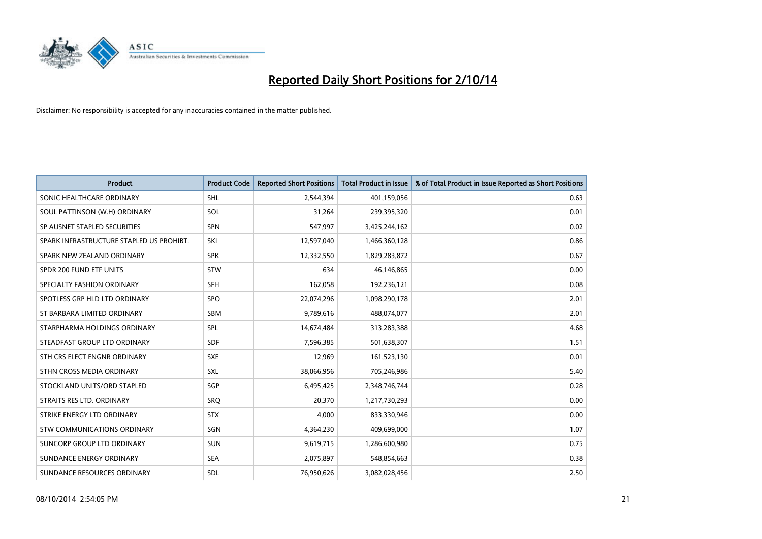

| <b>Product</b>                           | <b>Product Code</b> | <b>Reported Short Positions</b> | <b>Total Product in Issue</b> | % of Total Product in Issue Reported as Short Positions |
|------------------------------------------|---------------------|---------------------------------|-------------------------------|---------------------------------------------------------|
| SONIC HEALTHCARE ORDINARY                | <b>SHL</b>          | 2,544,394                       | 401,159,056                   | 0.63                                                    |
| SOUL PATTINSON (W.H) ORDINARY            | SOL                 | 31,264                          | 239,395,320                   | 0.01                                                    |
| SP AUSNET STAPLED SECURITIES             | <b>SPN</b>          | 547,997                         | 3,425,244,162                 | 0.02                                                    |
| SPARK INFRASTRUCTURE STAPLED US PROHIBT. | SKI                 | 12,597,040                      | 1,466,360,128                 | 0.86                                                    |
| SPARK NEW ZEALAND ORDINARY               | <b>SPK</b>          | 12,332,550                      | 1,829,283,872                 | 0.67                                                    |
| SPDR 200 FUND ETF UNITS                  | STW                 | 634                             | 46,146,865                    | 0.00                                                    |
| SPECIALTY FASHION ORDINARY               | <b>SFH</b>          | 162,058                         | 192,236,121                   | 0.08                                                    |
| SPOTLESS GRP HLD LTD ORDINARY            | <b>SPO</b>          | 22,074,296                      | 1,098,290,178                 | 2.01                                                    |
| ST BARBARA LIMITED ORDINARY              | <b>SBM</b>          | 9,789,616                       | 488,074,077                   | 2.01                                                    |
| STARPHARMA HOLDINGS ORDINARY             | <b>SPL</b>          | 14,674,484                      | 313,283,388                   | 4.68                                                    |
| STEADFAST GROUP LTD ORDINARY             | <b>SDF</b>          | 7,596,385                       | 501,638,307                   | 1.51                                                    |
| STH CRS ELECT ENGNR ORDINARY             | <b>SXE</b>          | 12,969                          | 161,523,130                   | 0.01                                                    |
| STHN CROSS MEDIA ORDINARY                | SXL                 | 38,066,956                      | 705,246,986                   | 5.40                                                    |
| STOCKLAND UNITS/ORD STAPLED              | SGP                 | 6,495,425                       | 2,348,746,744                 | 0.28                                                    |
| STRAITS RES LTD. ORDINARY                | SRQ                 | 20,370                          | 1,217,730,293                 | 0.00                                                    |
| STRIKE ENERGY LTD ORDINARY               | <b>STX</b>          | 4,000                           | 833,330,946                   | 0.00                                                    |
| STW COMMUNICATIONS ORDINARY              | SGN                 | 4,364,230                       | 409,699,000                   | 1.07                                                    |
| SUNCORP GROUP LTD ORDINARY               | <b>SUN</b>          | 9,619,715                       | 1,286,600,980                 | 0.75                                                    |
| SUNDANCE ENERGY ORDINARY                 | <b>SEA</b>          | 2,075,897                       | 548,854,663                   | 0.38                                                    |
| SUNDANCE RESOURCES ORDINARY              | <b>SDL</b>          | 76,950,626                      | 3,082,028,456                 | 2.50                                                    |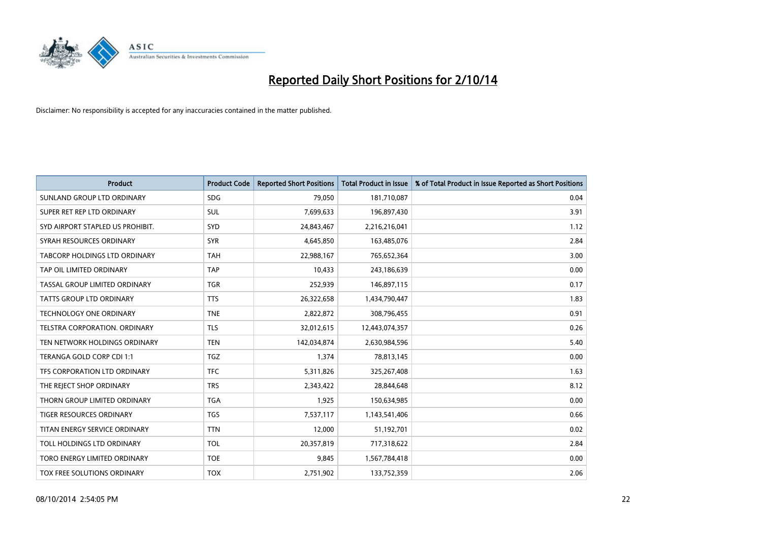

| <b>Product</b>                   | <b>Product Code</b> | <b>Reported Short Positions</b> | <b>Total Product in Issue</b> | % of Total Product in Issue Reported as Short Positions |
|----------------------------------|---------------------|---------------------------------|-------------------------------|---------------------------------------------------------|
| SUNLAND GROUP LTD ORDINARY       | <b>SDG</b>          | 79,050                          | 181,710,087                   | 0.04                                                    |
| SUPER RET REP LTD ORDINARY       | <b>SUL</b>          | 7,699,633                       | 196,897,430                   | 3.91                                                    |
| SYD AIRPORT STAPLED US PROHIBIT. | <b>SYD</b>          | 24,843,467                      | 2,216,216,041                 | 1.12                                                    |
| SYRAH RESOURCES ORDINARY         | <b>SYR</b>          | 4,645,850                       | 163,485,076                   | 2.84                                                    |
| TABCORP HOLDINGS LTD ORDINARY    | <b>TAH</b>          | 22,988,167                      | 765,652,364                   | 3.00                                                    |
| TAP OIL LIMITED ORDINARY         | <b>TAP</b>          | 10,433                          | 243,186,639                   | 0.00                                                    |
| TASSAL GROUP LIMITED ORDINARY    | <b>TGR</b>          | 252,939                         | 146,897,115                   | 0.17                                                    |
| <b>TATTS GROUP LTD ORDINARY</b>  | <b>TTS</b>          | 26,322,658                      | 1,434,790,447                 | 1.83                                                    |
| <b>TECHNOLOGY ONE ORDINARY</b>   | <b>TNE</b>          | 2,822,872                       | 308,796,455                   | 0.91                                                    |
| TELSTRA CORPORATION, ORDINARY    | <b>TLS</b>          | 32,012,615                      | 12,443,074,357                | 0.26                                                    |
| TEN NETWORK HOLDINGS ORDINARY    | <b>TEN</b>          | 142,034,874                     | 2,630,984,596                 | 5.40                                                    |
| TERANGA GOLD CORP CDI 1:1        | TGZ                 | 1,374                           | 78,813,145                    | 0.00                                                    |
| TFS CORPORATION LTD ORDINARY     | <b>TFC</b>          | 5,311,826                       | 325,267,408                   | 1.63                                                    |
| THE REJECT SHOP ORDINARY         | <b>TRS</b>          | 2,343,422                       | 28,844,648                    | 8.12                                                    |
| THORN GROUP LIMITED ORDINARY     | <b>TGA</b>          | 1,925                           | 150,634,985                   | 0.00                                                    |
| TIGER RESOURCES ORDINARY         | <b>TGS</b>          | 7,537,117                       | 1,143,541,406                 | 0.66                                                    |
| TITAN ENERGY SERVICE ORDINARY    | <b>TTN</b>          | 12,000                          | 51,192,701                    | 0.02                                                    |
| TOLL HOLDINGS LTD ORDINARY       | <b>TOL</b>          | 20,357,819                      | 717,318,622                   | 2.84                                                    |
| TORO ENERGY LIMITED ORDINARY     | <b>TOE</b>          | 9,845                           | 1,567,784,418                 | 0.00                                                    |
| TOX FREE SOLUTIONS ORDINARY      | <b>TOX</b>          | 2,751,902                       | 133,752,359                   | 2.06                                                    |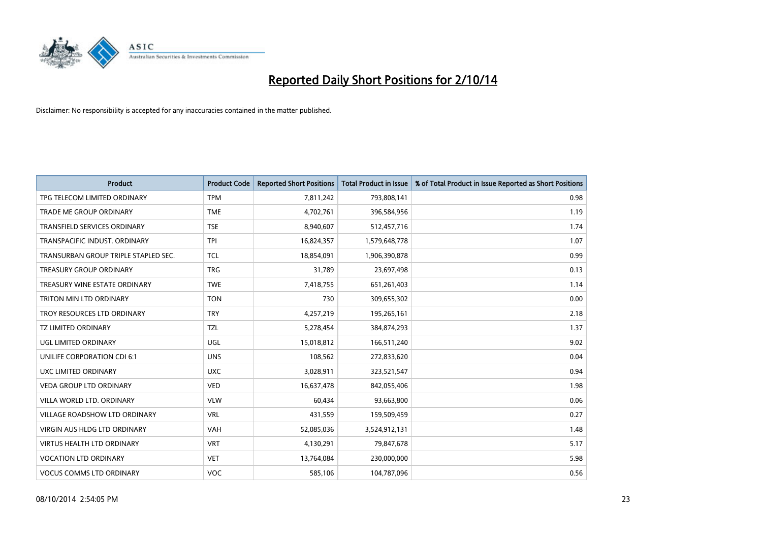

| <b>Product</b>                       | <b>Product Code</b> | <b>Reported Short Positions</b> | <b>Total Product in Issue</b> | % of Total Product in Issue Reported as Short Positions |
|--------------------------------------|---------------------|---------------------------------|-------------------------------|---------------------------------------------------------|
| TPG TELECOM LIMITED ORDINARY         | <b>TPM</b>          | 7,811,242                       | 793,808,141                   | 0.98                                                    |
| TRADE ME GROUP ORDINARY              | <b>TME</b>          | 4,702,761                       | 396,584,956                   | 1.19                                                    |
| <b>TRANSFIELD SERVICES ORDINARY</b>  | <b>TSE</b>          | 8,940,607                       | 512,457,716                   | 1.74                                                    |
| TRANSPACIFIC INDUST. ORDINARY        | <b>TPI</b>          | 16,824,357                      | 1,579,648,778                 | 1.07                                                    |
| TRANSURBAN GROUP TRIPLE STAPLED SEC. | TCL                 | 18,854,091                      | 1,906,390,878                 | 0.99                                                    |
| <b>TREASURY GROUP ORDINARY</b>       | <b>TRG</b>          | 31,789                          | 23,697,498                    | 0.13                                                    |
| TREASURY WINE ESTATE ORDINARY        | <b>TWE</b>          | 7,418,755                       | 651,261,403                   | 1.14                                                    |
| TRITON MIN LTD ORDINARY              | <b>TON</b>          | 730                             | 309,655,302                   | 0.00                                                    |
| TROY RESOURCES LTD ORDINARY          | <b>TRY</b>          | 4,257,219                       | 195,265,161                   | 2.18                                                    |
| TZ LIMITED ORDINARY                  | TZL                 | 5,278,454                       | 384,874,293                   | 1.37                                                    |
| UGL LIMITED ORDINARY                 | UGL                 | 15,018,812                      | 166,511,240                   | 9.02                                                    |
| UNILIFE CORPORATION CDI 6:1          | <b>UNS</b>          | 108,562                         | 272,833,620                   | 0.04                                                    |
| UXC LIMITED ORDINARY                 | <b>UXC</b>          | 3,028,911                       | 323,521,547                   | 0.94                                                    |
| <b>VEDA GROUP LTD ORDINARY</b>       | <b>VED</b>          | 16,637,478                      | 842,055,406                   | 1.98                                                    |
| VILLA WORLD LTD, ORDINARY            | <b>VLW</b>          | 60,434                          | 93,663,800                    | 0.06                                                    |
| VILLAGE ROADSHOW LTD ORDINARY        | <b>VRL</b>          | 431,559                         | 159,509,459                   | 0.27                                                    |
| VIRGIN AUS HLDG LTD ORDINARY         | VAH                 | 52,085,036                      | 3,524,912,131                 | 1.48                                                    |
| VIRTUS HEALTH LTD ORDINARY           | <b>VRT</b>          | 4,130,291                       | 79,847,678                    | 5.17                                                    |
| <b>VOCATION LTD ORDINARY</b>         | <b>VET</b>          | 13,764,084                      | 230,000,000                   | 5.98                                                    |
| <b>VOCUS COMMS LTD ORDINARY</b>      | <b>VOC</b>          | 585,106                         | 104,787,096                   | 0.56                                                    |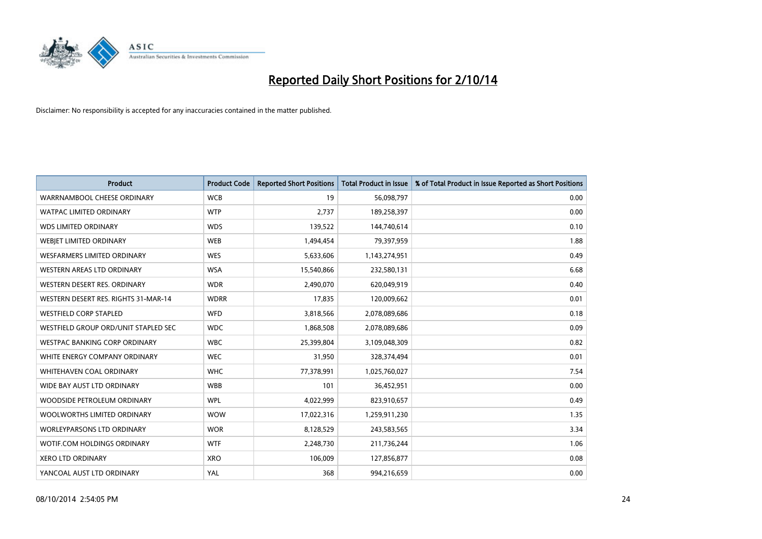

| <b>Product</b>                       | <b>Product Code</b> | <b>Reported Short Positions</b> | <b>Total Product in Issue</b> | % of Total Product in Issue Reported as Short Positions |
|--------------------------------------|---------------------|---------------------------------|-------------------------------|---------------------------------------------------------|
| WARRNAMBOOL CHEESE ORDINARY          | <b>WCB</b>          | 19                              | 56,098,797                    | 0.00                                                    |
| <b>WATPAC LIMITED ORDINARY</b>       | <b>WTP</b>          | 2,737                           | 189,258,397                   | 0.00                                                    |
| <b>WDS LIMITED ORDINARY</b>          | <b>WDS</b>          | 139,522                         | 144,740,614                   | 0.10                                                    |
| WEBIET LIMITED ORDINARY              | <b>WEB</b>          | 1,494,454                       | 79,397,959                    | 1.88                                                    |
| <b>WESFARMERS LIMITED ORDINARY</b>   | <b>WES</b>          | 5,633,606                       | 1,143,274,951                 | 0.49                                                    |
| <b>WESTERN AREAS LTD ORDINARY</b>    | <b>WSA</b>          | 15,540,866                      | 232,580,131                   | 6.68                                                    |
| WESTERN DESERT RES. ORDINARY         | <b>WDR</b>          | 2,490,070                       | 620,049,919                   | 0.40                                                    |
| WESTERN DESERT RES. RIGHTS 31-MAR-14 | <b>WDRR</b>         | 17,835                          | 120,009,662                   | 0.01                                                    |
| <b>WESTFIELD CORP STAPLED</b>        | WFD                 | 3,818,566                       | 2,078,089,686                 | 0.18                                                    |
| WESTFIELD GROUP ORD/UNIT STAPLED SEC | <b>WDC</b>          | 1,868,508                       | 2,078,089,686                 | 0.09                                                    |
| WESTPAC BANKING CORP ORDINARY        | <b>WBC</b>          | 25,399,804                      | 3,109,048,309                 | 0.82                                                    |
| WHITE ENERGY COMPANY ORDINARY        | <b>WEC</b>          | 31,950                          | 328,374,494                   | 0.01                                                    |
| WHITEHAVEN COAL ORDINARY             | <b>WHC</b>          | 77,378,991                      | 1,025,760,027                 | 7.54                                                    |
| WIDE BAY AUST LTD ORDINARY           | <b>WBB</b>          | 101                             | 36,452,951                    | 0.00                                                    |
| WOODSIDE PETROLEUM ORDINARY          | <b>WPL</b>          | 4,022,999                       | 823,910,657                   | 0.49                                                    |
| WOOLWORTHS LIMITED ORDINARY          | <b>WOW</b>          | 17,022,316                      | 1,259,911,230                 | 1.35                                                    |
| <b>WORLEYPARSONS LTD ORDINARY</b>    | <b>WOR</b>          | 8,128,529                       | 243,583,565                   | 3.34                                                    |
| WOTIF.COM HOLDINGS ORDINARY          | <b>WTF</b>          | 2,248,730                       | 211,736,244                   | 1.06                                                    |
| <b>XERO LTD ORDINARY</b>             | <b>XRO</b>          | 106,009                         | 127,856,877                   | 0.08                                                    |
| YANCOAL AUST LTD ORDINARY            | YAL                 | 368                             | 994,216,659                   | 0.00                                                    |